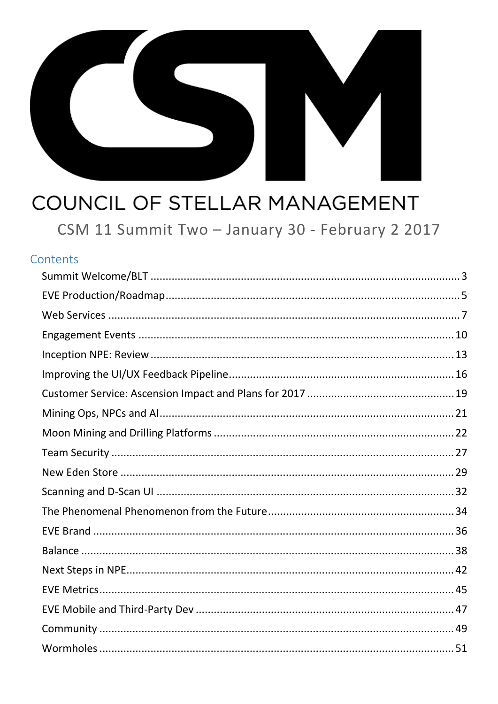

# COUNCIL OF STELLAR MANAGEMENT

CSM 11 Summit Two - January 30 - February 2 2017

#### Contents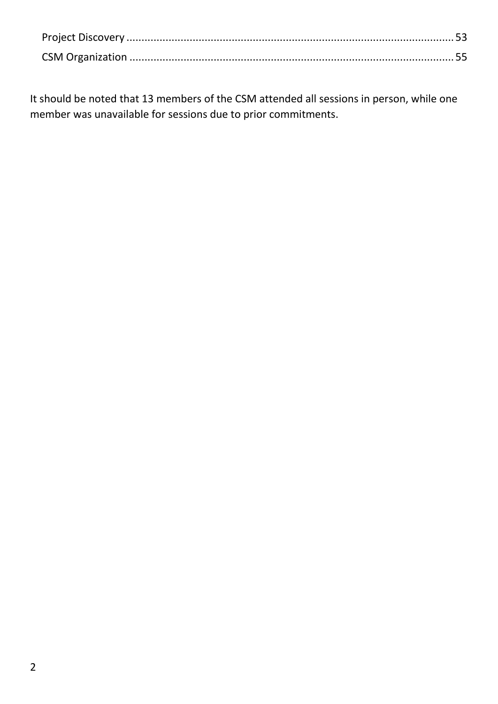It should be noted that 13 members of the CSM attended all sessions in person, while one member was unavailable for sessions due to prior commitments.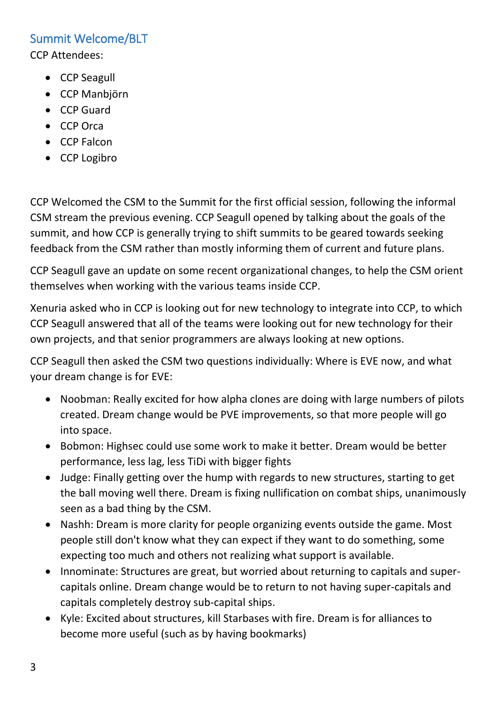## <span id="page-2-0"></span>Summit Welcome/BLT

CCP Attendees:

- CCP Seagull
- CCP Manbjörn
- CCP Guard
- CCP Orca
- CCP Falcon
- CCP Logibro

CCP Welcomed the CSM to the Summit for the first official session, following the informal CSM stream the previous evening. CCP Seagull opened by talking about the goals of the summit, and how CCP is generally trying to shift summits to be geared towards seeking feedback from the CSM rather than mostly informing them of current and future plans.

CCP Seagull gave an update on some recent organizational changes, to help the CSM orient themselves when working with the various teams inside CCP.

Xenuria asked who in CCP is looking out for new technology to integrate into CCP, to which CCP Seagull answered that all of the teams were looking out for new technology for their own projects, and that senior programmers are always looking at new options.

CCP Seagull then asked the CSM two questions individually: Where is EVE now, and what your dream change is for EVE:

- Noobman: Really excited for how alpha clones are doing with large numbers of pilots created. Dream change would be PVE improvements, so that more people will go into space.
- Bobmon: Highsec could use some work to make it better. Dream would be better performance, less lag, less TiDi with bigger fights
- Judge: Finally getting over the hump with regards to new structures, starting to get the ball moving well there. Dream is fixing nullification on combat ships, unanimously seen as a bad thing by the CSM.
- Nashh: Dream is more clarity for people organizing events outside the game. Most people still don't know what they can expect if they want to do something, some expecting too much and others not realizing what support is available.
- Innominate: Structures are great, but worried about returning to capitals and supercapitals online. Dream change would be to return to not having super-capitals and capitals completely destroy sub-capital ships.
- Kyle: Excited about structures, kill Starbases with fire. Dream is for alliances to become more useful (such as by having bookmarks)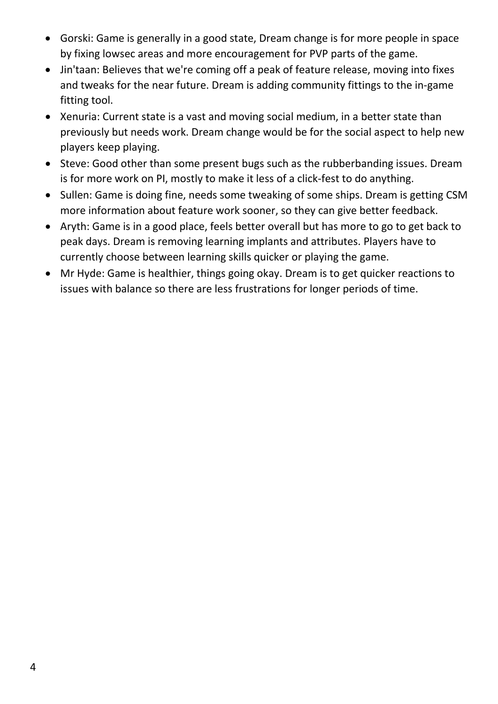- Gorski: Game is generally in a good state, Dream change is for more people in space by fixing lowsec areas and more encouragement for PVP parts of the game.
- Jin'taan: Believes that we're coming off a peak of feature release, moving into fixes and tweaks for the near future. Dream is adding community fittings to the in-game fitting tool.
- Xenuria: Current state is a vast and moving social medium, in a better state than previously but needs work. Dream change would be for the social aspect to help new players keep playing.
- Steve: Good other than some present bugs such as the rubberbanding issues. Dream is for more work on PI, mostly to make it less of a click-fest to do anything.
- Sullen: Game is doing fine, needs some tweaking of some ships. Dream is getting CSM more information about feature work sooner, so they can give better feedback.
- Aryth: Game is in a good place, feels better overall but has more to go to get back to peak days. Dream is removing learning implants and attributes. Players have to currently choose between learning skills quicker or playing the game.
- Mr Hyde: Game is healthier, things going okay. Dream is to get quicker reactions to issues with balance so there are less frustrations for longer periods of time.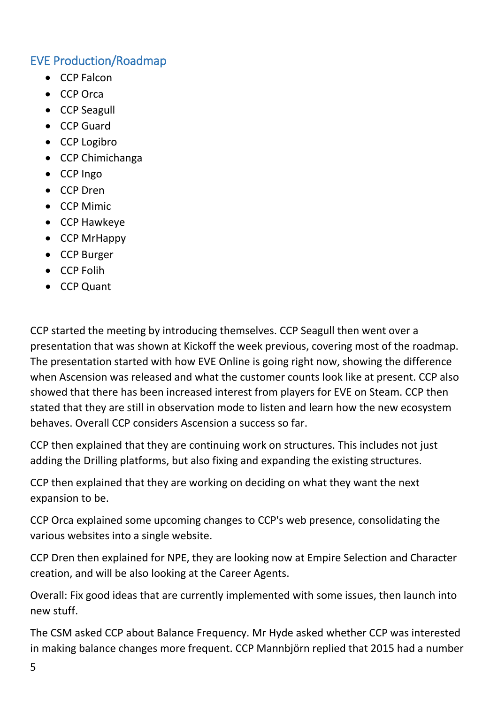## <span id="page-4-0"></span>EVE Production/Roadmap

- CCP Falcon
- CCP Orca
- CCP Seagull
- CCP Guard
- CCP Logibro
- CCP Chimichanga
- CCP Ingo
- CCP Dren
- CCP Mimic
- CCP Hawkeye
- CCP MrHappy
- CCP Burger
- CCP Folih
- CCP Quant

CCP started the meeting by introducing themselves. CCP Seagull then went over a presentation that was shown at Kickoff the week previous, covering most of the roadmap. The presentation started with how EVE Online is going right now, showing the difference when Ascension was released and what the customer counts look like at present. CCP also showed that there has been increased interest from players for EVE on Steam. CCP then stated that they are still in observation mode to listen and learn how the new ecosystem behaves. Overall CCP considers Ascension a success so far.

CCP then explained that they are continuing work on structures. This includes not just adding the Drilling platforms, but also fixing and expanding the existing structures.

CCP then explained that they are working on deciding on what they want the next expansion to be.

CCP Orca explained some upcoming changes to CCP's web presence, consolidating the various websites into a single website.

CCP Dren then explained for NPE, they are looking now at Empire Selection and Character creation, and will be also looking at the Career Agents.

Overall: Fix good ideas that are currently implemented with some issues, then launch into new stuff.

The CSM asked CCP about Balance Frequency. Mr Hyde asked whether CCP was interested in making balance changes more frequent. CCP Mannbjörn replied that 2015 had a number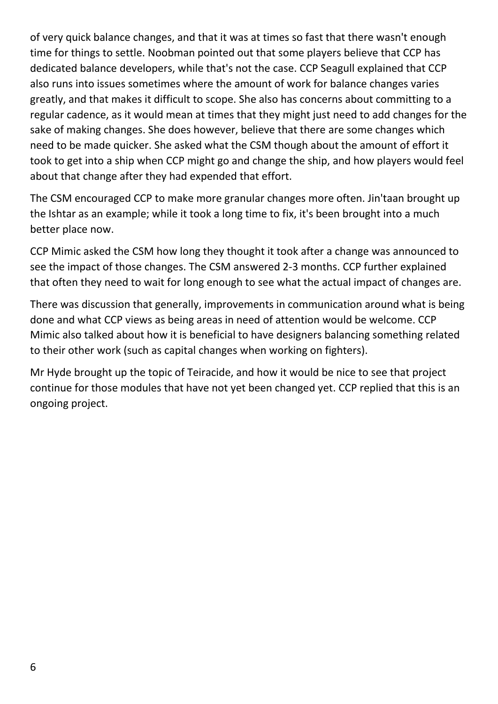of very quick balance changes, and that it was at times so fast that there wasn't enough time for things to settle. Noobman pointed out that some players believe that CCP has dedicated balance developers, while that's not the case. CCP Seagull explained that CCP also runs into issues sometimes where the amount of work for balance changes varies greatly, and that makes it difficult to scope. She also has concerns about committing to a regular cadence, as it would mean at times that they might just need to add changes for the sake of making changes. She does however, believe that there are some changes which need to be made quicker. She asked what the CSM though about the amount of effort it took to get into a ship when CCP might go and change the ship, and how players would feel about that change after they had expended that effort.

The CSM encouraged CCP to make more granular changes more often. Jin'taan brought up the Ishtar as an example; while it took a long time to fix, it's been brought into a much better place now.

CCP Mimic asked the CSM how long they thought it took after a change was announced to see the impact of those changes. The CSM answered 2-3 months. CCP further explained that often they need to wait for long enough to see what the actual impact of changes are.

There was discussion that generally, improvements in communication around what is being done and what CCP views as being areas in need of attention would be welcome. CCP Mimic also talked about how it is beneficial to have designers balancing something related to their other work (such as capital changes when working on fighters).

Mr Hyde brought up the topic of Teiracide, and how it would be nice to see that project continue for those modules that have not yet been changed yet. CCP replied that this is an ongoing project.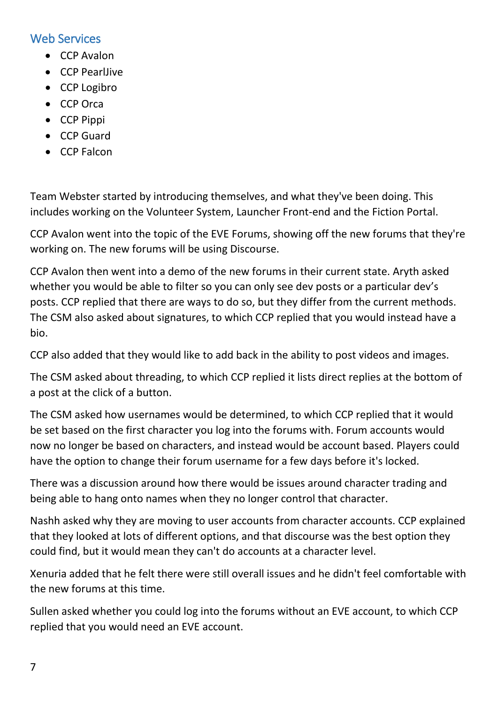### <span id="page-6-0"></span>Web Services

- CCP Avalon
- CCP PearlJive
- CCP Logibro
- CCP Orca
- CCP Pippi
- CCP Guard
- CCP Falcon

Team Webster started by introducing themselves, and what they've been doing. This includes working on the Volunteer System, Launcher Front-end and the Fiction Portal.

CCP Avalon went into the topic of the EVE Forums, showing off the new forums that they're working on. The new forums will be using Discourse.

CCP Avalon then went into a demo of the new forums in their current state. Aryth asked whether you would be able to filter so you can only see dev posts or a particular dev's posts. CCP replied that there are ways to do so, but they differ from the current methods. The CSM also asked about signatures, to which CCP replied that you would instead have a bio.

CCP also added that they would like to add back in the ability to post videos and images.

The CSM asked about threading, to which CCP replied it lists direct replies at the bottom of a post at the click of a button.

The CSM asked how usernames would be determined, to which CCP replied that it would be set based on the first character you log into the forums with. Forum accounts would now no longer be based on characters, and instead would be account based. Players could have the option to change their forum username for a few days before it's locked.

There was a discussion around how there would be issues around character trading and being able to hang onto names when they no longer control that character.

Nashh asked why they are moving to user accounts from character accounts. CCP explained that they looked at lots of different options, and that discourse was the best option they could find, but it would mean they can't do accounts at a character level.

Xenuria added that he felt there were still overall issues and he didn't feel comfortable with the new forums at this time.

Sullen asked whether you could log into the forums without an EVE account, to which CCP replied that you would need an EVE account.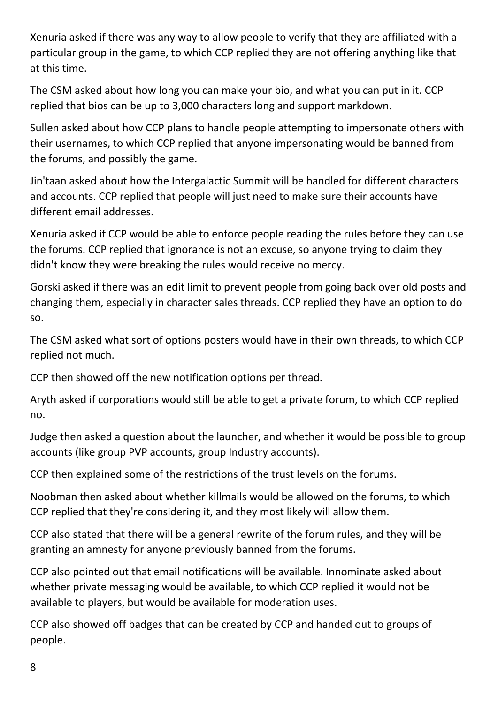Xenuria asked if there was any way to allow people to verify that they are affiliated with a particular group in the game, to which CCP replied they are not offering anything like that at this time.

The CSM asked about how long you can make your bio, and what you can put in it. CCP replied that bios can be up to 3,000 characters long and support markdown.

Sullen asked about how CCP plans to handle people attempting to impersonate others with their usernames, to which CCP replied that anyone impersonating would be banned from the forums, and possibly the game.

Jin'taan asked about how the Intergalactic Summit will be handled for different characters and accounts. CCP replied that people will just need to make sure their accounts have different email addresses.

Xenuria asked if CCP would be able to enforce people reading the rules before they can use the forums. CCP replied that ignorance is not an excuse, so anyone trying to claim they didn't know they were breaking the rules would receive no mercy.

Gorski asked if there was an edit limit to prevent people from going back over old posts and changing them, especially in character sales threads. CCP replied they have an option to do so.

The CSM asked what sort of options posters would have in their own threads, to which CCP replied not much.

CCP then showed off the new notification options per thread.

Aryth asked if corporations would still be able to get a private forum, to which CCP replied no.

Judge then asked a question about the launcher, and whether it would be possible to group accounts (like group PVP accounts, group Industry accounts).

CCP then explained some of the restrictions of the trust levels on the forums.

Noobman then asked about whether killmails would be allowed on the forums, to which CCP replied that they're considering it, and they most likely will allow them.

CCP also stated that there will be a general rewrite of the forum rules, and they will be granting an amnesty for anyone previously banned from the forums.

CCP also pointed out that email notifications will be available. Innominate asked about whether private messaging would be available, to which CCP replied it would not be available to players, but would be available for moderation uses.

CCP also showed off badges that can be created by CCP and handed out to groups of people.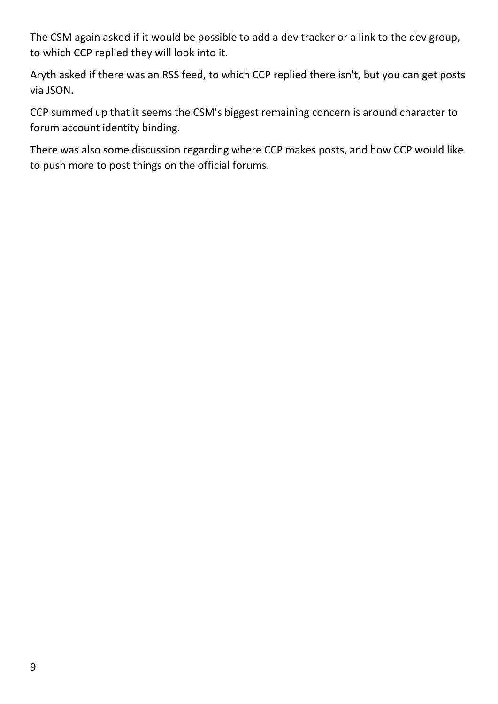The CSM again asked if it would be possible to add a dev tracker or a link to the dev group, to which CCP replied they will look into it.

Aryth asked if there was an RSS feed, to which CCP replied there isn't, but you can get posts via JSON.

CCP summed up that it seems the CSM's biggest remaining concern is around character to forum account identity binding.

There was also some discussion regarding where CCP makes posts, and how CCP would like to push more to post things on the official forums.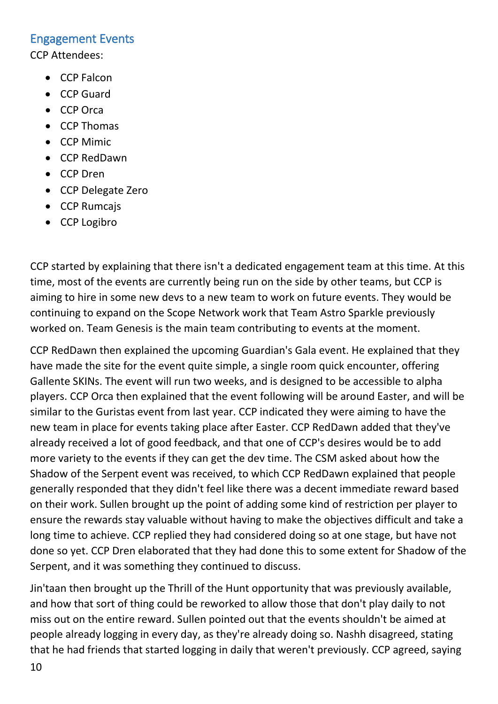#### <span id="page-9-0"></span>Engagement Events

CCP Attendees:

- CCP Falcon
- CCP Guard
- CCP Orca
- CCP Thomas
- CCP Mimic
- CCP RedDawn
- CCP Dren
- CCP Delegate Zero
- CCP Rumcajs
- CCP Logibro

CCP started by explaining that there isn't a dedicated engagement team at this time. At this time, most of the events are currently being run on the side by other teams, but CCP is aiming to hire in some new devs to a new team to work on future events. They would be continuing to expand on the Scope Network work that Team Astro Sparkle previously worked on. Team Genesis is the main team contributing to events at the moment.

CCP RedDawn then explained the upcoming Guardian's Gala event. He explained that they have made the site for the event quite simple, a single room quick encounter, offering Gallente SKINs. The event will run two weeks, and is designed to be accessible to alpha players. CCP Orca then explained that the event following will be around Easter, and will be similar to the Guristas event from last year. CCP indicated they were aiming to have the new team in place for events taking place after Easter. CCP RedDawn added that they've already received a lot of good feedback, and that one of CCP's desires would be to add more variety to the events if they can get the dev time. The CSM asked about how the Shadow of the Serpent event was received, to which CCP RedDawn explained that people generally responded that they didn't feel like there was a decent immediate reward based on their work. Sullen brought up the point of adding some kind of restriction per player to ensure the rewards stay valuable without having to make the objectives difficult and take a long time to achieve. CCP replied they had considered doing so at one stage, but have not done so yet. CCP Dren elaborated that they had done this to some extent for Shadow of the Serpent, and it was something they continued to discuss.

Jin'taan then brought up the Thrill of the Hunt opportunity that was previously available, and how that sort of thing could be reworked to allow those that don't play daily to not miss out on the entire reward. Sullen pointed out that the events shouldn't be aimed at people already logging in every day, as they're already doing so. Nashh disagreed, stating that he had friends that started logging in daily that weren't previously. CCP agreed, saying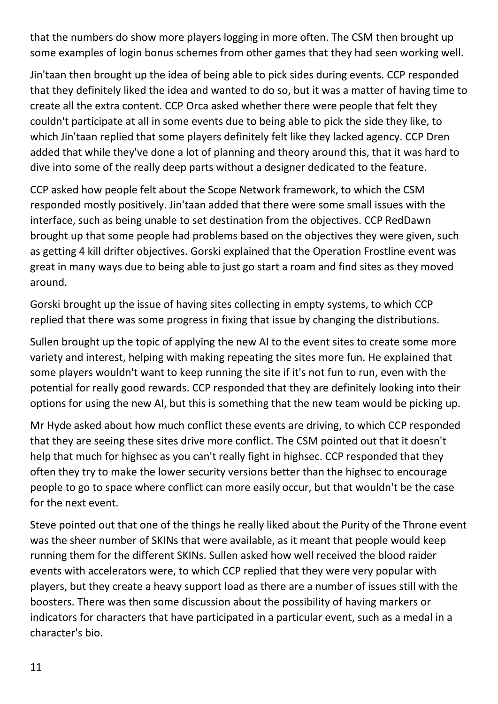that the numbers do show more players logging in more often. The CSM then brought up some examples of login bonus schemes from other games that they had seen working well.

Jin'taan then brought up the idea of being able to pick sides during events. CCP responded that they definitely liked the idea and wanted to do so, but it was a matter of having time to create all the extra content. CCP Orca asked whether there were people that felt they couldn't participate at all in some events due to being able to pick the side they like, to which Jin'taan replied that some players definitely felt like they lacked agency. CCP Dren added that while they've done a lot of planning and theory around this, that it was hard to dive into some of the really deep parts without a designer dedicated to the feature.

CCP asked how people felt about the Scope Network framework, to which the CSM responded mostly positively. Jin'taan added that there were some small issues with the interface, such as being unable to set destination from the objectives. CCP RedDawn brought up that some people had problems based on the objectives they were given, such as getting 4 kill drifter objectives. Gorski explained that the Operation Frostline event was great in many ways due to being able to just go start a roam and find sites as they moved around.

Gorski brought up the issue of having sites collecting in empty systems, to which CCP replied that there was some progress in fixing that issue by changing the distributions.

Sullen brought up the topic of applying the new AI to the event sites to create some more variety and interest, helping with making repeating the sites more fun. He explained that some players wouldn't want to keep running the site if it's not fun to run, even with the potential for really good rewards. CCP responded that they are definitely looking into their options for using the new AI, but this is something that the new team would be picking up.

Mr Hyde asked about how much conflict these events are driving, to which CCP responded that they are seeing these sites drive more conflict. The CSM pointed out that it doesn't help that much for highsec as you can't really fight in highsec. CCP responded that they often they try to make the lower security versions better than the highsec to encourage people to go to space where conflict can more easily occur, but that wouldn't be the case for the next event.

Steve pointed out that one of the things he really liked about the Purity of the Throne event was the sheer number of SKINs that were available, as it meant that people would keep running them for the different SKINs. Sullen asked how well received the blood raider events with accelerators were, to which CCP replied that they were very popular with players, but they create a heavy support load as there are a number of issues still with the boosters. There was then some discussion about the possibility of having markers or indicators for characters that have participated in a particular event, such as a medal in a character's bio.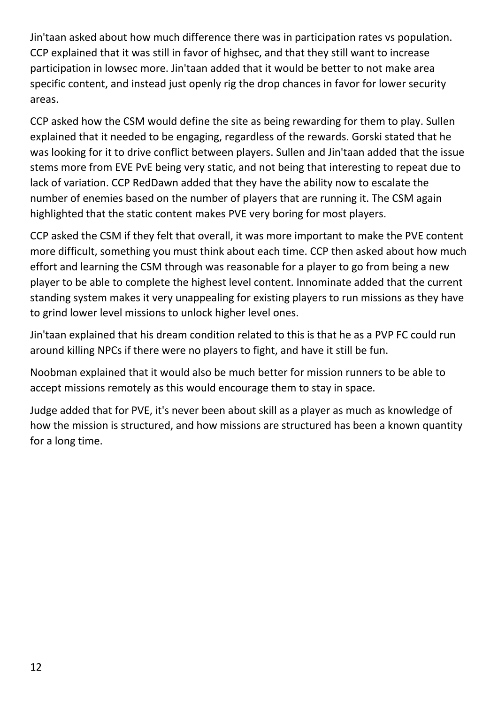Jin'taan asked about how much difference there was in participation rates vs population. CCP explained that it was still in favor of highsec, and that they still want to increase participation in lowsec more. Jin'taan added that it would be better to not make area specific content, and instead just openly rig the drop chances in favor for lower security areas.

CCP asked how the CSM would define the site as being rewarding for them to play. Sullen explained that it needed to be engaging, regardless of the rewards. Gorski stated that he was looking for it to drive conflict between players. Sullen and Jin'taan added that the issue stems more from EVE PvE being very static, and not being that interesting to repeat due to lack of variation. CCP RedDawn added that they have the ability now to escalate the number of enemies based on the number of players that are running it. The CSM again highlighted that the static content makes PVE very boring for most players.

CCP asked the CSM if they felt that overall, it was more important to make the PVE content more difficult, something you must think about each time. CCP then asked about how much effort and learning the CSM through was reasonable for a player to go from being a new player to be able to complete the highest level content. Innominate added that the current standing system makes it very unappealing for existing players to run missions as they have to grind lower level missions to unlock higher level ones.

Jin'taan explained that his dream condition related to this is that he as a PVP FC could run around killing NPCs if there were no players to fight, and have it still be fun.

Noobman explained that it would also be much better for mission runners to be able to accept missions remotely as this would encourage them to stay in space.

Judge added that for PVE, it's never been about skill as a player as much as knowledge of how the mission is structured, and how missions are structured has been a known quantity for a long time.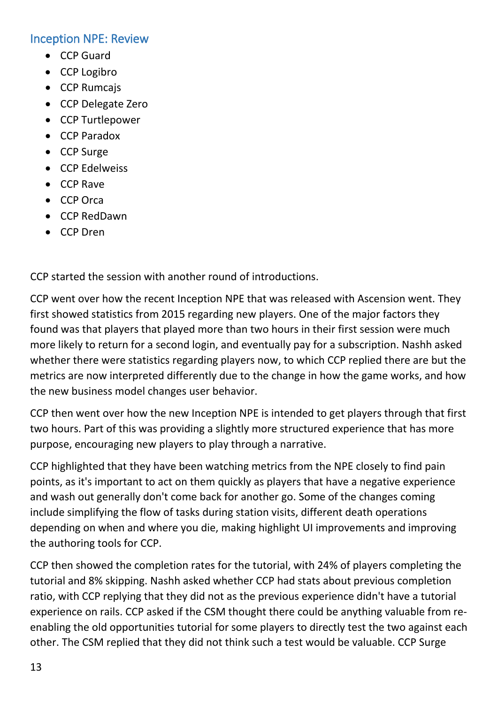#### <span id="page-12-0"></span>Inception NPE: Review

- CCP Guard
- CCP Logibro
- CCP Rumcajs
- CCP Delegate Zero
- CCP Turtlepower
- CCP Paradox
- CCP Surge
- CCP Edelweiss
- CCP Rave
- CCP Orca
- CCP RedDawn
- CCP Dren

CCP started the session with another round of introductions.

CCP went over how the recent Inception NPE that was released with Ascension went. They first showed statistics from 2015 regarding new players. One of the major factors they found was that players that played more than two hours in their first session were much more likely to return for a second login, and eventually pay for a subscription. Nashh asked whether there were statistics regarding players now, to which CCP replied there are but the metrics are now interpreted differently due to the change in how the game works, and how the new business model changes user behavior.

CCP then went over how the new Inception NPE is intended to get players through that first two hours. Part of this was providing a slightly more structured experience that has more purpose, encouraging new players to play through a narrative.

CCP highlighted that they have been watching metrics from the NPE closely to find pain points, as it's important to act on them quickly as players that have a negative experience and wash out generally don't come back for another go. Some of the changes coming include simplifying the flow of tasks during station visits, different death operations depending on when and where you die, making highlight UI improvements and improving the authoring tools for CCP.

CCP then showed the completion rates for the tutorial, with 24% of players completing the tutorial and 8% skipping. Nashh asked whether CCP had stats about previous completion ratio, with CCP replying that they did not as the previous experience didn't have a tutorial experience on rails. CCP asked if the CSM thought there could be anything valuable from reenabling the old opportunities tutorial for some players to directly test the two against each other. The CSM replied that they did not think such a test would be valuable. CCP Surge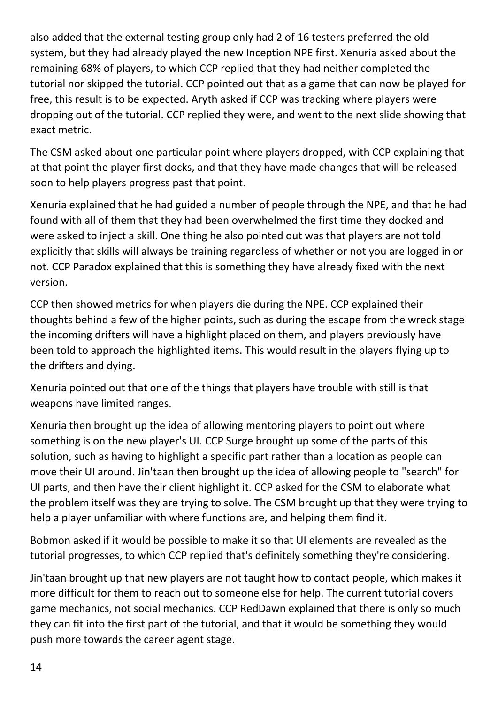also added that the external testing group only had 2 of 16 testers preferred the old system, but they had already played the new Inception NPE first. Xenuria asked about the remaining 68% of players, to which CCP replied that they had neither completed the tutorial nor skipped the tutorial. CCP pointed out that as a game that can now be played for free, this result is to be expected. Aryth asked if CCP was tracking where players were dropping out of the tutorial. CCP replied they were, and went to the next slide showing that exact metric.

The CSM asked about one particular point where players dropped, with CCP explaining that at that point the player first docks, and that they have made changes that will be released soon to help players progress past that point.

Xenuria explained that he had guided a number of people through the NPE, and that he had found with all of them that they had been overwhelmed the first time they docked and were asked to inject a skill. One thing he also pointed out was that players are not told explicitly that skills will always be training regardless of whether or not you are logged in or not. CCP Paradox explained that this is something they have already fixed with the next version.

CCP then showed metrics for when players die during the NPE. CCP explained their thoughts behind a few of the higher points, such as during the escape from the wreck stage the incoming drifters will have a highlight placed on them, and players previously have been told to approach the highlighted items. This would result in the players flying up to the drifters and dying.

Xenuria pointed out that one of the things that players have trouble with still is that weapons have limited ranges.

Xenuria then brought up the idea of allowing mentoring players to point out where something is on the new player's UI. CCP Surge brought up some of the parts of this solution, such as having to highlight a specific part rather than a location as people can move their UI around. Jin'taan then brought up the idea of allowing people to "search" for UI parts, and then have their client highlight it. CCP asked for the CSM to elaborate what the problem itself was they are trying to solve. The CSM brought up that they were trying to help a player unfamiliar with where functions are, and helping them find it.

Bobmon asked if it would be possible to make it so that UI elements are revealed as the tutorial progresses, to which CCP replied that's definitely something they're considering.

Jin'taan brought up that new players are not taught how to contact people, which makes it more difficult for them to reach out to someone else for help. The current tutorial covers game mechanics, not social mechanics. CCP RedDawn explained that there is only so much they can fit into the first part of the tutorial, and that it would be something they would push more towards the career agent stage.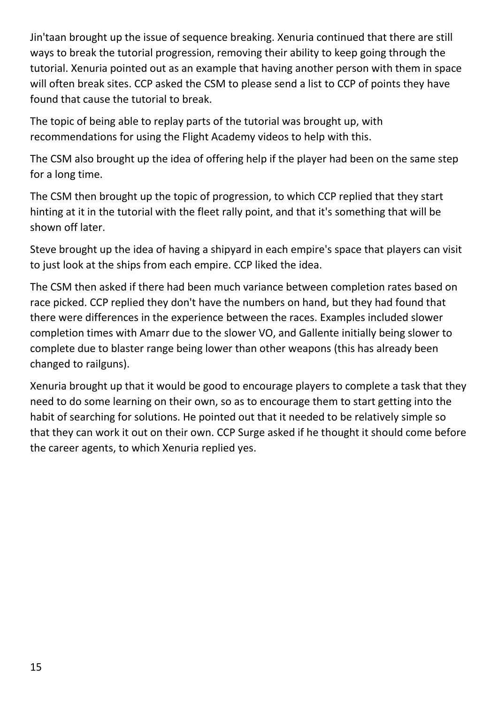Jin'taan brought up the issue of sequence breaking. Xenuria continued that there are still ways to break the tutorial progression, removing their ability to keep going through the tutorial. Xenuria pointed out as an example that having another person with them in space will often break sites. CCP asked the CSM to please send a list to CCP of points they have found that cause the tutorial to break.

The topic of being able to replay parts of the tutorial was brought up, with recommendations for using the Flight Academy videos to help with this.

The CSM also brought up the idea of offering help if the player had been on the same step for a long time.

The CSM then brought up the topic of progression, to which CCP replied that they start hinting at it in the tutorial with the fleet rally point, and that it's something that will be shown off later.

Steve brought up the idea of having a shipyard in each empire's space that players can visit to just look at the ships from each empire. CCP liked the idea.

The CSM then asked if there had been much variance between completion rates based on race picked. CCP replied they don't have the numbers on hand, but they had found that there were differences in the experience between the races. Examples included slower completion times with Amarr due to the slower VO, and Gallente initially being slower to complete due to blaster range being lower than other weapons (this has already been changed to railguns).

Xenuria brought up that it would be good to encourage players to complete a task that they need to do some learning on their own, so as to encourage them to start getting into the habit of searching for solutions. He pointed out that it needed to be relatively simple so that they can work it out on their own. CCP Surge asked if he thought it should come before the career agents, to which Xenuria replied yes.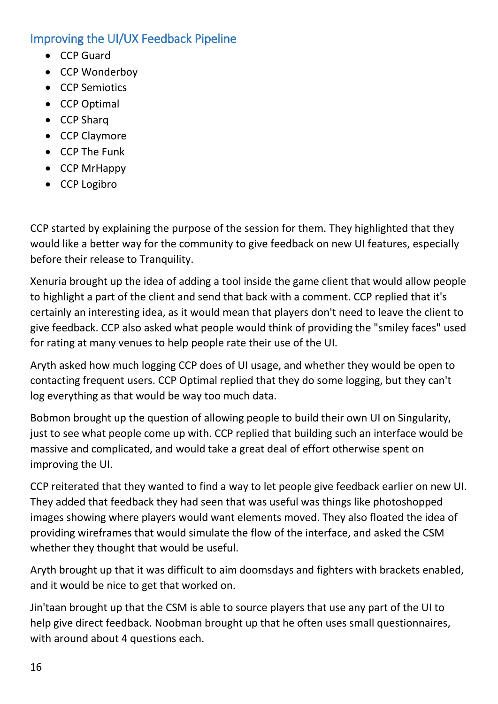## <span id="page-15-0"></span>Improving the UI/UX Feedback Pipeline

- CCP Guard
- CCP Wonderboy
- CCP Semiotics
- CCP Optimal
- CCP Sharq
- CCP Claymore
- CCP The Funk
- CCP MrHappy
- CCP Logibro

CCP started by explaining the purpose of the session for them. They highlighted that they would like a better way for the community to give feedback on new UI features, especially before their release to Tranquility.

Xenuria brought up the idea of adding a tool inside the game client that would allow people to highlight a part of the client and send that back with a comment. CCP replied that it's certainly an interesting idea, as it would mean that players don't need to leave the client to give feedback. CCP also asked what people would think of providing the "smiley faces" used for rating at many venues to help people rate their use of the UI.

Aryth asked how much logging CCP does of UI usage, and whether they would be open to contacting frequent users. CCP Optimal replied that they do some logging, but they can't log everything as that would be way too much data.

Bobmon brought up the question of allowing people to build their own UI on Singularity, just to see what people come up with. CCP replied that building such an interface would be massive and complicated, and would take a great deal of effort otherwise spent on improving the UI.

CCP reiterated that they wanted to find a way to let people give feedback earlier on new UI. They added that feedback they had seen that was useful was things like photoshopped images showing where players would want elements moved. They also floated the idea of providing wireframes that would simulate the flow of the interface, and asked the CSM whether they thought that would be useful.

Aryth brought up that it was difficult to aim doomsdays and fighters with brackets enabled, and it would be nice to get that worked on.

Jin'taan brought up that the CSM is able to source players that use any part of the UI to help give direct feedback. Noobman brought up that he often uses small questionnaires, with around about 4 questions each.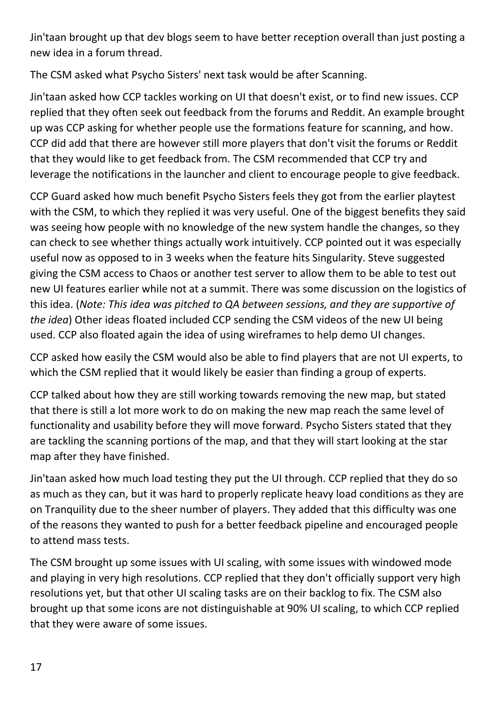Jin'taan brought up that dev blogs seem to have better reception overall than just posting a new idea in a forum thread.

The CSM asked what Psycho Sisters' next task would be after Scanning.

Jin'taan asked how CCP tackles working on UI that doesn't exist, or to find new issues. CCP replied that they often seek out feedback from the forums and Reddit. An example brought up was CCP asking for whether people use the formations feature for scanning, and how. CCP did add that there are however still more players that don't visit the forums or Reddit that they would like to get feedback from. The CSM recommended that CCP try and leverage the notifications in the launcher and client to encourage people to give feedback.

CCP Guard asked how much benefit Psycho Sisters feels they got from the earlier playtest with the CSM, to which they replied it was very useful. One of the biggest benefits they said was seeing how people with no knowledge of the new system handle the changes, so they can check to see whether things actually work intuitively. CCP pointed out it was especially useful now as opposed to in 3 weeks when the feature hits Singularity. Steve suggested giving the CSM access to Chaos or another test server to allow them to be able to test out new UI features earlier while not at a summit. There was some discussion on the logistics of this idea. (*Note: This idea was pitched to QA between sessions, and they are supportive of the idea*) Other ideas floated included CCP sending the CSM videos of the new UI being used. CCP also floated again the idea of using wireframes to help demo UI changes.

CCP asked how easily the CSM would also be able to find players that are not UI experts, to which the CSM replied that it would likely be easier than finding a group of experts.

CCP talked about how they are still working towards removing the new map, but stated that there is still a lot more work to do on making the new map reach the same level of functionality and usability before they will move forward. Psycho Sisters stated that they are tackling the scanning portions of the map, and that they will start looking at the star map after they have finished.

Jin'taan asked how much load testing they put the UI through. CCP replied that they do so as much as they can, but it was hard to properly replicate heavy load conditions as they are on Tranquility due to the sheer number of players. They added that this difficulty was one of the reasons they wanted to push for a better feedback pipeline and encouraged people to attend mass tests.

The CSM brought up some issues with UI scaling, with some issues with windowed mode and playing in very high resolutions. CCP replied that they don't officially support very high resolutions yet, but that other UI scaling tasks are on their backlog to fix. The CSM also brought up that some icons are not distinguishable at 90% UI scaling, to which CCP replied that they were aware of some issues.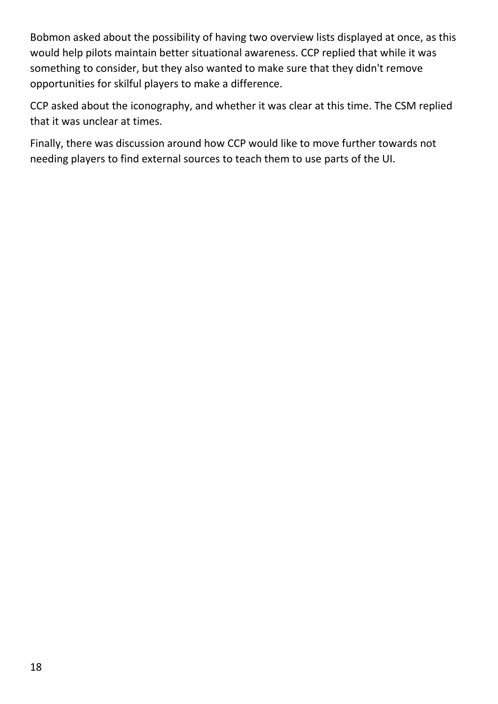Bobmon asked about the possibility of having two overview lists displayed at once, as this would help pilots maintain better situational awareness. CCP replied that while it was something to consider, but they also wanted to make sure that they didn't remove opportunities for skilful players to make a difference.

CCP asked about the iconography, and whether it was clear at this time. The CSM replied that it was unclear at times.

Finally, there was discussion around how CCP would like to move further towards not needing players to find external sources to teach them to use parts of the UI.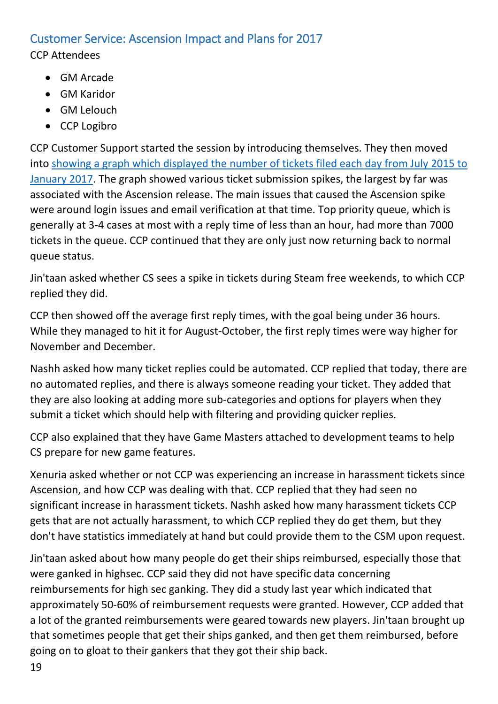## <span id="page-18-0"></span>Customer Service: Ascension Impact and Plans for 2017

CCP Attendees

- GM Arcade
- GM Karidor
- GM Lelouch
- CCP Logibro

CCP Customer Support started the session by introducing themselves. They then moved into [showing a graph which displayed the number of tickets filed each day from July 2015 to](http://content.eveonline.com/www/newssystem/media/71839/2/ccpdailyticketsreceived2016.PNG)  [January 2017.](http://content.eveonline.com/www/newssystem/media/71839/2/ccpdailyticketsreceived2016.PNG) The graph showed various ticket submission spikes, the largest by far was associated with the Ascension release. The main issues that caused the Ascension spike were around login issues and email verification at that time. Top priority queue, which is generally at 3-4 cases at most with a reply time of less than an hour, had more than 7000 tickets in the queue. CCP continued that they are only just now returning back to normal queue status.

Jin'taan asked whether CS sees a spike in tickets during Steam free weekends, to which CCP replied they did.

CCP then showed off the average first reply times, with the goal being under 36 hours. While they managed to hit it for August-October, the first reply times were way higher for November and December.

Nashh asked how many ticket replies could be automated. CCP replied that today, there are no automated replies, and there is always someone reading your ticket. They added that they are also looking at adding more sub-categories and options for players when they submit a ticket which should help with filtering and providing quicker replies.

CCP also explained that they have Game Masters attached to development teams to help CS prepare for new game features.

Xenuria asked whether or not CCP was experiencing an increase in harassment tickets since Ascension, and how CCP was dealing with that. CCP replied that they had seen no significant increase in harassment tickets. Nashh asked how many harassment tickets CCP gets that are not actually harassment, to which CCP replied they do get them, but they don't have statistics immediately at hand but could provide them to the CSM upon request.

Jin'taan asked about how many people do get their ships reimbursed, especially those that were ganked in highsec. CCP said they did not have specific data concerning reimbursements for high sec ganking. They did a study last year which indicated that approximately 50-60% of reimbursement requests were granted. However, CCP added that a lot of the granted reimbursements were geared towards new players. Jin'taan brought up that sometimes people that get their ships ganked, and then get them reimbursed, before going on to gloat to their gankers that they got their ship back.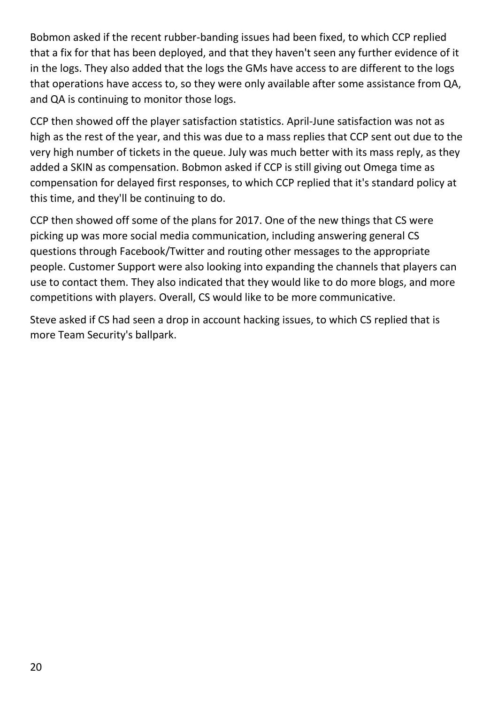Bobmon asked if the recent rubber-banding issues had been fixed, to which CCP replied that a fix for that has been deployed, and that they haven't seen any further evidence of it in the logs. They also added that the logs the GMs have access to are different to the logs that operations have access to, so they were only available after some assistance from QA, and QA is continuing to monitor those logs.

CCP then showed off the player satisfaction statistics. April-June satisfaction was not as high as the rest of the year, and this was due to a mass replies that CCP sent out due to the very high number of tickets in the queue. July was much better with its mass reply, as they added a SKIN as compensation. Bobmon asked if CCP is still giving out Omega time as compensation for delayed first responses, to which CCP replied that it's standard policy at this time, and they'll be continuing to do.

CCP then showed off some of the plans for 2017. One of the new things that CS were picking up was more social media communication, including answering general CS questions through Facebook/Twitter and routing other messages to the appropriate people. Customer Support were also looking into expanding the channels that players can use to contact them. They also indicated that they would like to do more blogs, and more competitions with players. Overall, CS would like to be more communicative.

Steve asked if CS had seen a drop in account hacking issues, to which CS replied that is more Team Security's ballpark.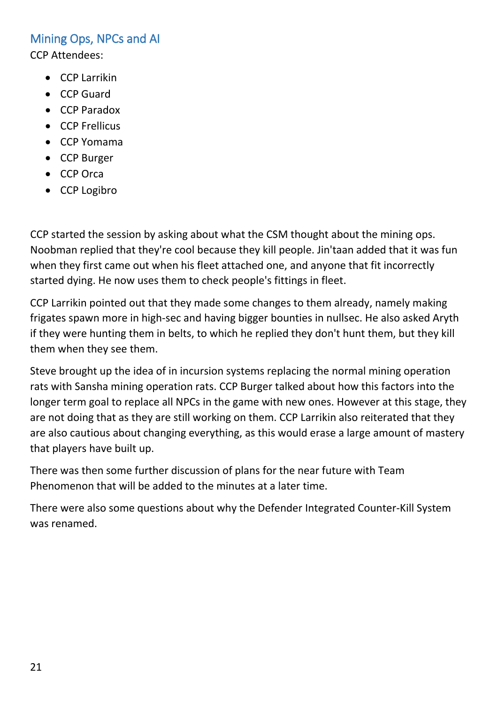## <span id="page-20-0"></span>Mining Ops, NPCs and AI

CCP Attendees:

- CCP Larrikin
- CCP Guard
- CCP Paradox
- CCP Frellicus
- CCP Yomama
- CCP Burger
- CCP Orca
- CCP Logibro

CCP started the session by asking about what the CSM thought about the mining ops. Noobman replied that they're cool because they kill people. Jin'taan added that it was fun when they first came out when his fleet attached one, and anyone that fit incorrectly started dying. He now uses them to check people's fittings in fleet.

CCP Larrikin pointed out that they made some changes to them already, namely making frigates spawn more in high-sec and having bigger bounties in nullsec. He also asked Aryth if they were hunting them in belts, to which he replied they don't hunt them, but they kill them when they see them.

Steve brought up the idea of in incursion systems replacing the normal mining operation rats with Sansha mining operation rats. CCP Burger talked about how this factors into the longer term goal to replace all NPCs in the game with new ones. However at this stage, they are not doing that as they are still working on them. CCP Larrikin also reiterated that they are also cautious about changing everything, as this would erase a large amount of mastery that players have built up.

There was then some further discussion of plans for the near future with Team Phenomenon that will be added to the minutes at a later time.

There were also some questions about why the Defender Integrated Counter-Kill System was renamed.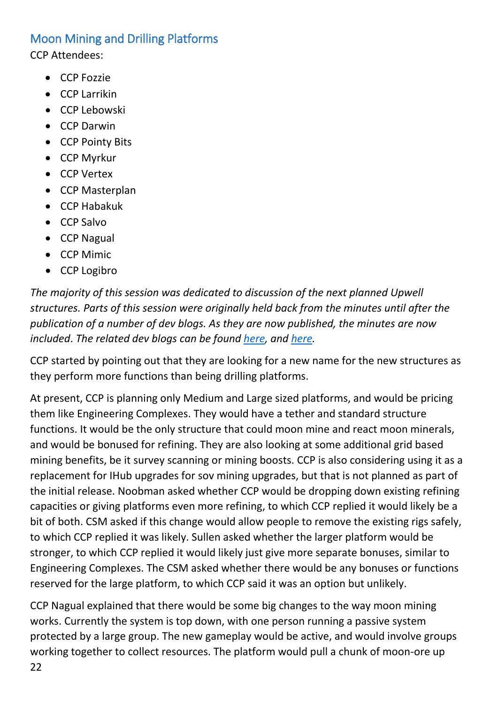## <span id="page-21-0"></span>Moon Mining and Drilling Platforms

CCP Attendees:

- CCP Fozzie
- CCP Larrikin
- CCP Lebowski
- CCP Darwin
- CCP Pointy Bits
- CCP Myrkur
- CCP Vertex
- CCP Masterplan
- CCP Habakuk
- CCP Salvo
- CCP Nagual
- CCP Mimic
- CCP Logibro

*The majority of this session was dedicated to discussion of the next planned Upwell structures. Parts of this session were originally held back from the minutes until after the publication of a number of dev blogs. As they are now published, the minutes are now included*. *The related dev blogs can be found [here,](https://community.eveonline.com/news/dev-blogs/introducing-upwell-refineries/) and [here.](https://community.eveonline.com/news/dev-blogs/the-advancing-world-of-upwell-structures/)*

CCP started by pointing out that they are looking for a new name for the new structures as they perform more functions than being drilling platforms.

At present, CCP is planning only Medium and Large sized platforms, and would be pricing them like Engineering Complexes. They would have a tether and standard structure functions. It would be the only structure that could moon mine and react moon minerals, and would be bonused for refining. They are also looking at some additional grid based mining benefits, be it survey scanning or mining boosts. CCP is also considering using it as a replacement for IHub upgrades for sov mining upgrades, but that is not planned as part of the initial release. Noobman asked whether CCP would be dropping down existing refining capacities or giving platforms even more refining, to which CCP replied it would likely be a bit of both. CSM asked if this change would allow people to remove the existing rigs safely, to which CCP replied it was likely. Sullen asked whether the larger platform would be stronger, to which CCP replied it would likely just give more separate bonuses, similar to Engineering Complexes. The CSM asked whether there would be any bonuses or functions reserved for the large platform, to which CCP said it was an option but unlikely.

CCP Nagual explained that there would be some big changes to the way moon mining works. Currently the system is top down, with one person running a passive system protected by a large group. The new gameplay would be active, and would involve groups working together to collect resources. The platform would pull a chunk of moon-ore up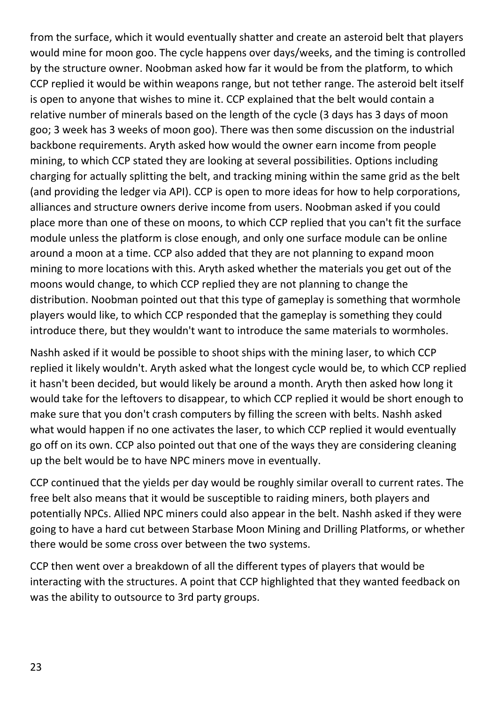from the surface, which it would eventually shatter and create an asteroid belt that players would mine for moon goo. The cycle happens over days/weeks, and the timing is controlled by the structure owner. Noobman asked how far it would be from the platform, to which CCP replied it would be within weapons range, but not tether range. The asteroid belt itself is open to anyone that wishes to mine it. CCP explained that the belt would contain a relative number of minerals based on the length of the cycle (3 days has 3 days of moon goo; 3 week has 3 weeks of moon goo). There was then some discussion on the industrial backbone requirements. Aryth asked how would the owner earn income from people mining, to which CCP stated they are looking at several possibilities. Options including charging for actually splitting the belt, and tracking mining within the same grid as the belt (and providing the ledger via API). CCP is open to more ideas for how to help corporations, alliances and structure owners derive income from users. Noobman asked if you could place more than one of these on moons, to which CCP replied that you can't fit the surface module unless the platform is close enough, and only one surface module can be online around a moon at a time. CCP also added that they are not planning to expand moon mining to more locations with this. Aryth asked whether the materials you get out of the moons would change, to which CCP replied they are not planning to change the distribution. Noobman pointed out that this type of gameplay is something that wormhole players would like, to which CCP responded that the gameplay is something they could introduce there, but they wouldn't want to introduce the same materials to wormholes.

Nashh asked if it would be possible to shoot ships with the mining laser, to which CCP replied it likely wouldn't. Aryth asked what the longest cycle would be, to which CCP replied it hasn't been decided, but would likely be around a month. Aryth then asked how long it would take for the leftovers to disappear, to which CCP replied it would be short enough to make sure that you don't crash computers by filling the screen with belts. Nashh asked what would happen if no one activates the laser, to which CCP replied it would eventually go off on its own. CCP also pointed out that one of the ways they are considering cleaning up the belt would be to have NPC miners move in eventually.

CCP continued that the yields per day would be roughly similar overall to current rates. The free belt also means that it would be susceptible to raiding miners, both players and potentially NPCs. Allied NPC miners could also appear in the belt. Nashh asked if they were going to have a hard cut between Starbase Moon Mining and Drilling Platforms, or whether there would be some cross over between the two systems.

CCP then went over a breakdown of all the different types of players that would be interacting with the structures. A point that CCP highlighted that they wanted feedback on was the ability to outsource to 3rd party groups.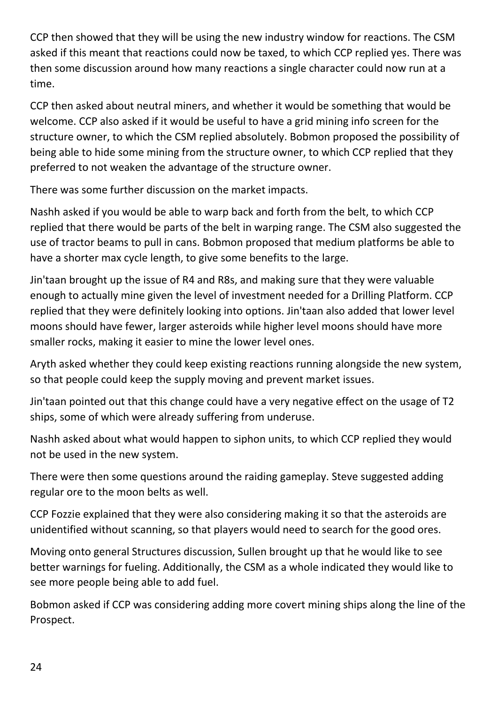CCP then showed that they will be using the new industry window for reactions. The CSM asked if this meant that reactions could now be taxed, to which CCP replied yes. There was then some discussion around how many reactions a single character could now run at a time.

CCP then asked about neutral miners, and whether it would be something that would be welcome. CCP also asked if it would be useful to have a grid mining info screen for the structure owner, to which the CSM replied absolutely. Bobmon proposed the possibility of being able to hide some mining from the structure owner, to which CCP replied that they preferred to not weaken the advantage of the structure owner.

There was some further discussion on the market impacts.

Nashh asked if you would be able to warp back and forth from the belt, to which CCP replied that there would be parts of the belt in warping range. The CSM also suggested the use of tractor beams to pull in cans. Bobmon proposed that medium platforms be able to have a shorter max cycle length, to give some benefits to the large.

Jin'taan brought up the issue of R4 and R8s, and making sure that they were valuable enough to actually mine given the level of investment needed for a Drilling Platform. CCP replied that they were definitely looking into options. Jin'taan also added that lower level moons should have fewer, larger asteroids while higher level moons should have more smaller rocks, making it easier to mine the lower level ones.

Aryth asked whether they could keep existing reactions running alongside the new system, so that people could keep the supply moving and prevent market issues.

Jin'taan pointed out that this change could have a very negative effect on the usage of T2 ships, some of which were already suffering from underuse.

Nashh asked about what would happen to siphon units, to which CCP replied they would not be used in the new system.

There were then some questions around the raiding gameplay. Steve suggested adding regular ore to the moon belts as well.

CCP Fozzie explained that they were also considering making it so that the asteroids are unidentified without scanning, so that players would need to search for the good ores.

Moving onto general Structures discussion, Sullen brought up that he would like to see better warnings for fueling. Additionally, the CSM as a whole indicated they would like to see more people being able to add fuel.

Bobmon asked if CCP was considering adding more covert mining ships along the line of the Prospect.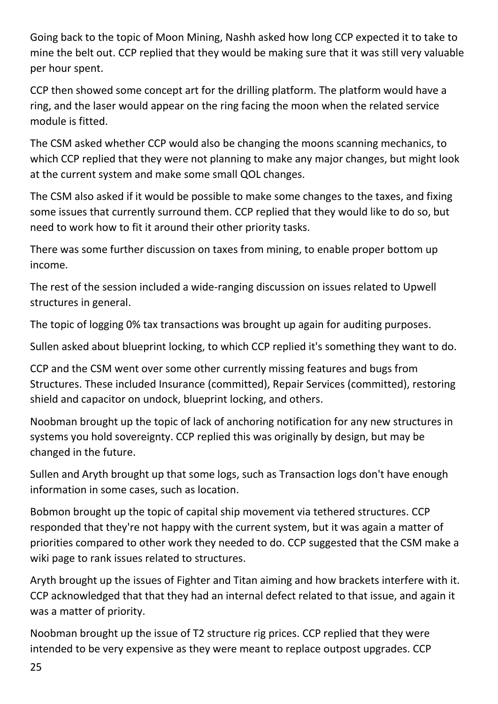Going back to the topic of Moon Mining, Nashh asked how long CCP expected it to take to mine the belt out. CCP replied that they would be making sure that it was still very valuable per hour spent.

CCP then showed some concept art for the drilling platform. The platform would have a ring, and the laser would appear on the ring facing the moon when the related service module is fitted.

The CSM asked whether CCP would also be changing the moons scanning mechanics, to which CCP replied that they were not planning to make any major changes, but might look at the current system and make some small QOL changes.

The CSM also asked if it would be possible to make some changes to the taxes, and fixing some issues that currently surround them. CCP replied that they would like to do so, but need to work how to fit it around their other priority tasks.

There was some further discussion on taxes from mining, to enable proper bottom up income.

The rest of the session included a wide-ranging discussion on issues related to Upwell structures in general.

The topic of logging 0% tax transactions was brought up again for auditing purposes.

Sullen asked about blueprint locking, to which CCP replied it's something they want to do.

CCP and the CSM went over some other currently missing features and bugs from Structures. These included Insurance (committed), Repair Services (committed), restoring shield and capacitor on undock, blueprint locking, and others.

Noobman brought up the topic of lack of anchoring notification for any new structures in systems you hold sovereignty. CCP replied this was originally by design, but may be changed in the future.

Sullen and Aryth brought up that some logs, such as Transaction logs don't have enough information in some cases, such as location.

Bobmon brought up the topic of capital ship movement via tethered structures. CCP responded that they're not happy with the current system, but it was again a matter of priorities compared to other work they needed to do. CCP suggested that the CSM make a wiki page to rank issues related to structures.

Aryth brought up the issues of Fighter and Titan aiming and how brackets interfere with it. CCP acknowledged that that they had an internal defect related to that issue, and again it was a matter of priority.

Noobman brought up the issue of T2 structure rig prices. CCP replied that they were intended to be very expensive as they were meant to replace outpost upgrades. CCP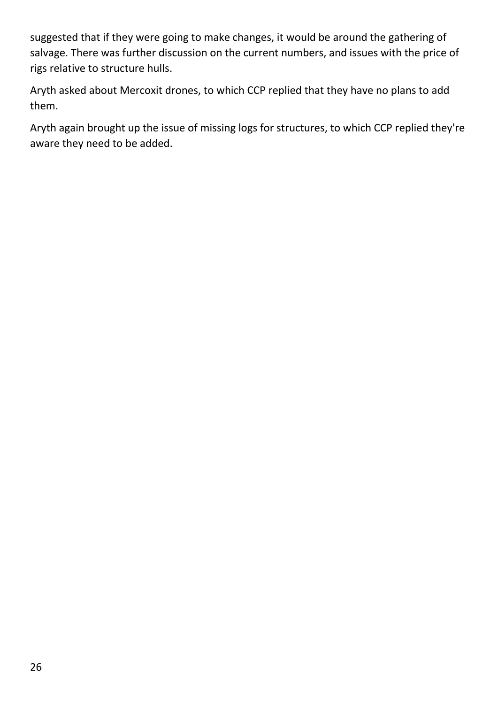suggested that if they were going to make changes, it would be around the gathering of salvage. There was further discussion on the current numbers, and issues with the price of rigs relative to structure hulls.

Aryth asked about Mercoxit drones, to which CCP replied that they have no plans to add them.

Aryth again brought up the issue of missing logs for structures, to which CCP replied they're aware they need to be added.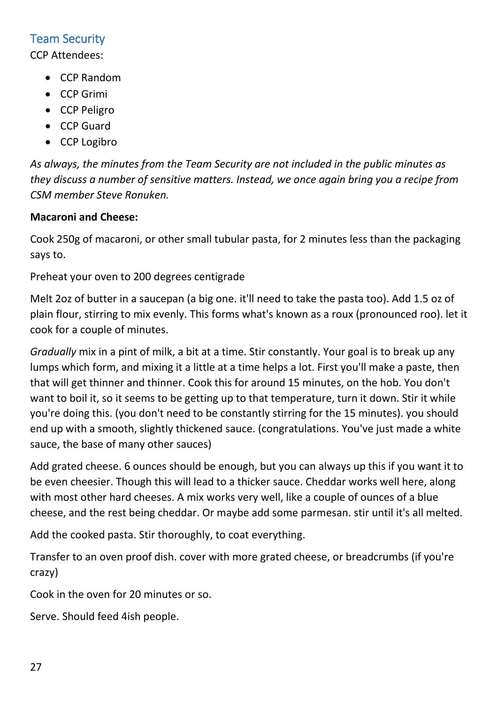## <span id="page-26-0"></span>Team Security

CCP Attendees:

- CCP Random
- CCP Grimi
- CCP Peligro
- CCP Guard
- CCP Logibro

*As always, the minutes from the Team Security are not included in the public minutes as they discuss a number of sensitive matters. Instead, we once again bring you a recipe from CSM member Steve Ronuken.*

### **Macaroni and Cheese:**

Cook 250g of macaroni, or other small tubular pasta, for 2 minutes less than the packaging says to.

Preheat your oven to 200 degrees centigrade

Melt 2oz of butter in a saucepan (a big one. it'll need to take the pasta too). Add 1.5 oz of plain flour, stirring to mix evenly. This forms what's known as a roux (pronounced roo). let it cook for a couple of minutes.

*Gradually* mix in a pint of milk, a bit at a time. Stir constantly. Your goal is to break up any lumps which form, and mixing it a little at a time helps a lot. First you'll make a paste, then that will get thinner and thinner. Cook this for around 15 minutes, on the hob. You don't want to boil it, so it seems to be getting up to that temperature, turn it down. Stir it while you're doing this. (you don't need to be constantly stirring for the 15 minutes). you should end up with a smooth, slightly thickened sauce. (congratulations. You've just made a white sauce, the base of many other sauces)

Add grated cheese. 6 ounces should be enough, but you can always up this if you want it to be even cheesier. Though this will lead to a thicker sauce. Cheddar works well here, along with most other hard cheeses. A mix works very well, like a couple of ounces of a blue cheese, and the rest being cheddar. Or maybe add some parmesan. stir until it's all melted.

Add the cooked pasta. Stir thoroughly, to coat everything.

Transfer to an oven proof dish. cover with more grated cheese, or breadcrumbs (if you're crazy)

Cook in the oven for 20 minutes or so.

Serve. Should feed 4ish people.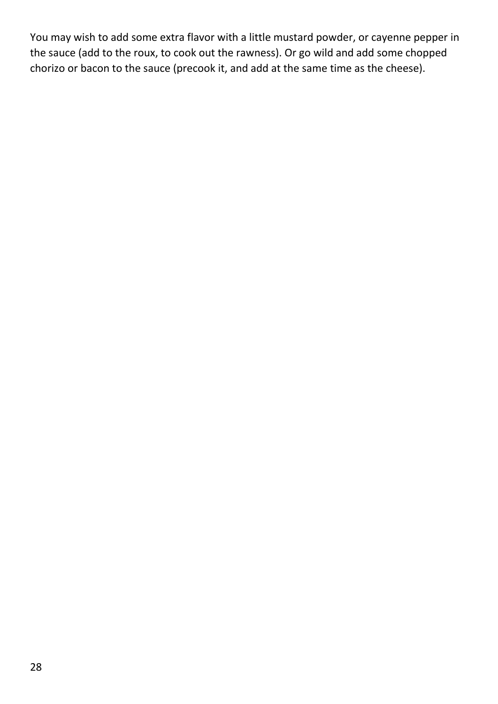You may wish to add some extra flavor with a little mustard powder, or cayenne pepper in the sauce (add to the roux, to cook out the rawness). Or go wild and add some chopped chorizo or bacon to the sauce (precook it, and add at the same time as the cheese).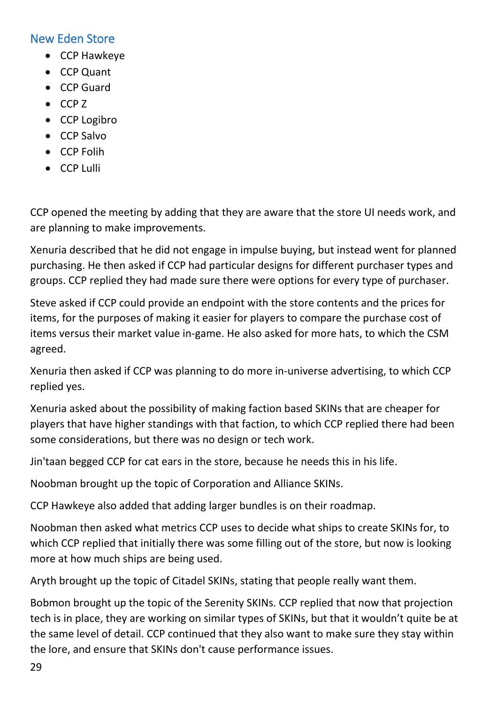## <span id="page-28-0"></span>New Eden Store

- CCP Hawkeye
- CCP Quant
- CCP Guard
- CCP Z
- CCP Logibro
- CCP Salvo
- CCP Folih
- CCP Lulli

CCP opened the meeting by adding that they are aware that the store UI needs work, and are planning to make improvements.

Xenuria described that he did not engage in impulse buying, but instead went for planned purchasing. He then asked if CCP had particular designs for different purchaser types and groups. CCP replied they had made sure there were options for every type of purchaser.

Steve asked if CCP could provide an endpoint with the store contents and the prices for items, for the purposes of making it easier for players to compare the purchase cost of items versus their market value in-game. He also asked for more hats, to which the CSM agreed.

Xenuria then asked if CCP was planning to do more in-universe advertising, to which CCP replied yes.

Xenuria asked about the possibility of making faction based SKINs that are cheaper for players that have higher standings with that faction, to which CCP replied there had been some considerations, but there was no design or tech work.

Jin'taan begged CCP for cat ears in the store, because he needs this in his life.

Noobman brought up the topic of Corporation and Alliance SKINs.

CCP Hawkeye also added that adding larger bundles is on their roadmap.

Noobman then asked what metrics CCP uses to decide what ships to create SKINs for, to which CCP replied that initially there was some filling out of the store, but now is looking more at how much ships are being used.

Aryth brought up the topic of Citadel SKINs, stating that people really want them.

Bobmon brought up the topic of the Serenity SKINs. CCP replied that now that projection tech is in place, they are working on similar types of SKINs, but that it wouldn't quite be at the same level of detail. CCP continued that they also want to make sure they stay within the lore, and ensure that SKINs don't cause performance issues.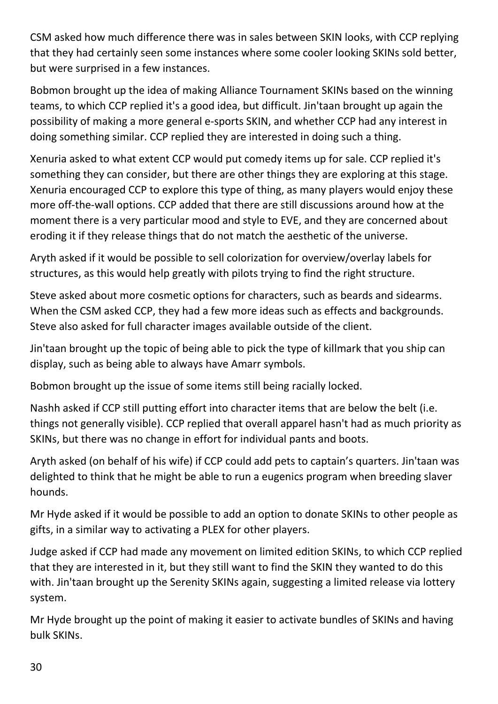CSM asked how much difference there was in sales between SKIN looks, with CCP replying that they had certainly seen some instances where some cooler looking SKINs sold better, but were surprised in a few instances.

Bobmon brought up the idea of making Alliance Tournament SKINs based on the winning teams, to which CCP replied it's a good idea, but difficult. Jin'taan brought up again the possibility of making a more general e-sports SKIN, and whether CCP had any interest in doing something similar. CCP replied they are interested in doing such a thing.

Xenuria asked to what extent CCP would put comedy items up for sale. CCP replied it's something they can consider, but there are other things they are exploring at this stage. Xenuria encouraged CCP to explore this type of thing, as many players would enjoy these more off-the-wall options. CCP added that there are still discussions around how at the moment there is a very particular mood and style to EVE, and they are concerned about eroding it if they release things that do not match the aesthetic of the universe.

Aryth asked if it would be possible to sell colorization for overview/overlay labels for structures, as this would help greatly with pilots trying to find the right structure.

Steve asked about more cosmetic options for characters, such as beards and sidearms. When the CSM asked CCP, they had a few more ideas such as effects and backgrounds. Steve also asked for full character images available outside of the client.

Jin'taan brought up the topic of being able to pick the type of killmark that you ship can display, such as being able to always have Amarr symbols.

Bobmon brought up the issue of some items still being racially locked.

Nashh asked if CCP still putting effort into character items that are below the belt (i.e. things not generally visible). CCP replied that overall apparel hasn't had as much priority as SKINs, but there was no change in effort for individual pants and boots.

Aryth asked (on behalf of his wife) if CCP could add pets to captain's quarters. Jin'taan was delighted to think that he might be able to run a eugenics program when breeding slaver hounds.

Mr Hyde asked if it would be possible to add an option to donate SKINs to other people as gifts, in a similar way to activating a PLEX for other players.

Judge asked if CCP had made any movement on limited edition SKINs, to which CCP replied that they are interested in it, but they still want to find the SKIN they wanted to do this with. Jin'taan brought up the Serenity SKINs again, suggesting a limited release via lottery system.

Mr Hyde brought up the point of making it easier to activate bundles of SKINs and having bulk SKINs.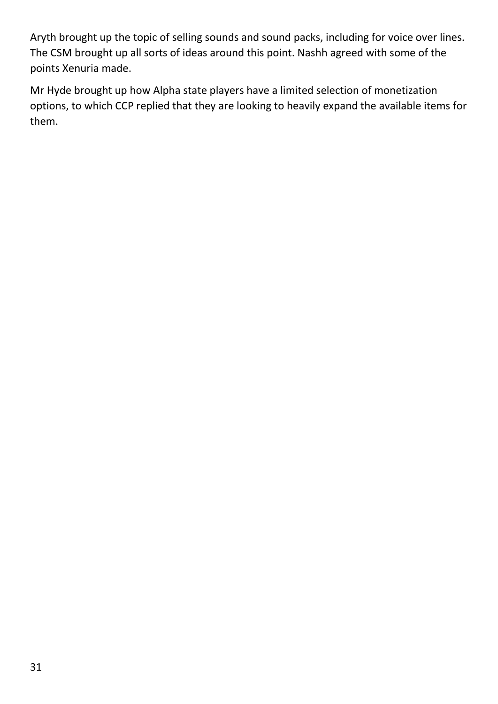Aryth brought up the topic of selling sounds and sound packs, including for voice over lines. The CSM brought up all sorts of ideas around this point. Nashh agreed with some of the points Xenuria made.

Mr Hyde brought up how Alpha state players have a limited selection of monetization options, to which CCP replied that they are looking to heavily expand the available items for them.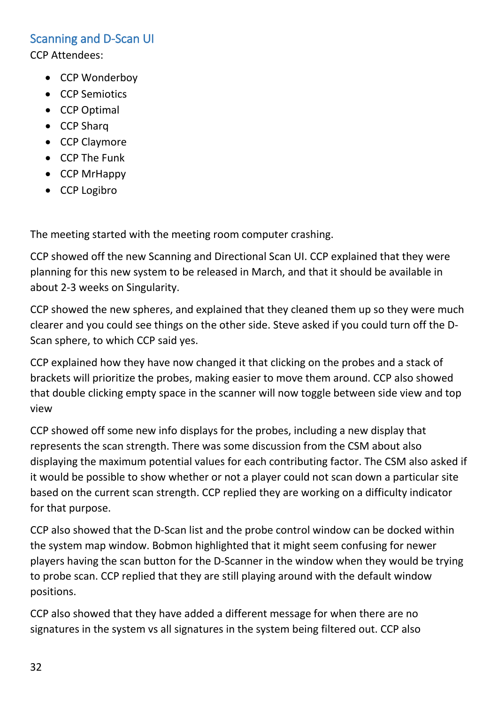#### <span id="page-31-0"></span>Scanning and D-Scan UI

CCP Attendees:

- CCP Wonderboy
- CCP Semiotics
- CCP Optimal
- CCP Sharq
- CCP Claymore
- CCP The Funk
- CCP MrHappy
- CCP Logibro

The meeting started with the meeting room computer crashing.

CCP showed off the new Scanning and Directional Scan UI. CCP explained that they were planning for this new system to be released in March, and that it should be available in about 2-3 weeks on Singularity.

CCP showed the new spheres, and explained that they cleaned them up so they were much clearer and you could see things on the other side. Steve asked if you could turn off the D-Scan sphere, to which CCP said yes.

CCP explained how they have now changed it that clicking on the probes and a stack of brackets will prioritize the probes, making easier to move them around. CCP also showed that double clicking empty space in the scanner will now toggle between side view and top view

CCP showed off some new info displays for the probes, including a new display that represents the scan strength. There was some discussion from the CSM about also displaying the maximum potential values for each contributing factor. The CSM also asked if it would be possible to show whether or not a player could not scan down a particular site based on the current scan strength. CCP replied they are working on a difficulty indicator for that purpose.

CCP also showed that the D-Scan list and the probe control window can be docked within the system map window. Bobmon highlighted that it might seem confusing for newer players having the scan button for the D-Scanner in the window when they would be trying to probe scan. CCP replied that they are still playing around with the default window positions.

CCP also showed that they have added a different message for when there are no signatures in the system vs all signatures in the system being filtered out. CCP also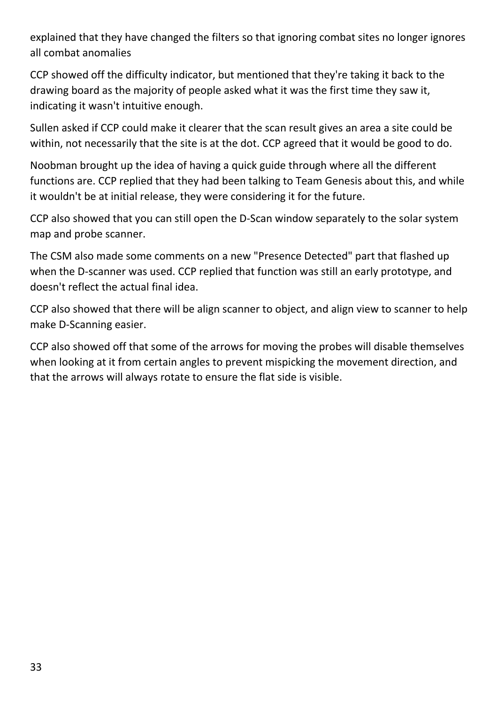explained that they have changed the filters so that ignoring combat sites no longer ignores all combat anomalies

CCP showed off the difficulty indicator, but mentioned that they're taking it back to the drawing board as the majority of people asked what it was the first time they saw it, indicating it wasn't intuitive enough.

Sullen asked if CCP could make it clearer that the scan result gives an area a site could be within, not necessarily that the site is at the dot. CCP agreed that it would be good to do.

Noobman brought up the idea of having a quick guide through where all the different functions are. CCP replied that they had been talking to Team Genesis about this, and while it wouldn't be at initial release, they were considering it for the future.

CCP also showed that you can still open the D-Scan window separately to the solar system map and probe scanner.

The CSM also made some comments on a new "Presence Detected" part that flashed up when the D-scanner was used. CCP replied that function was still an early prototype, and doesn't reflect the actual final idea.

CCP also showed that there will be align scanner to object, and align view to scanner to help make D-Scanning easier.

CCP also showed off that some of the arrows for moving the probes will disable themselves when looking at it from certain angles to prevent mispicking the movement direction, and that the arrows will always rotate to ensure the flat side is visible.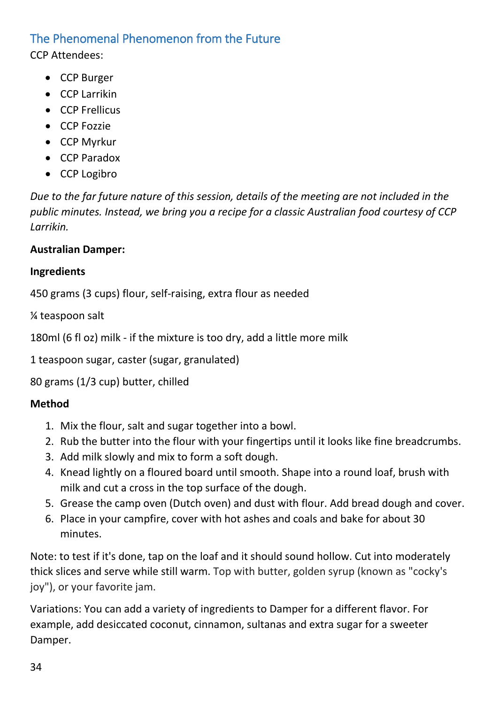## <span id="page-33-0"></span>The Phenomenal Phenomenon from the Future

CCP Attendees:

- CCP Burger
- CCP Larrikin
- CCP Frellicus
- CCP Fozzie
- CCP Myrkur
- CCP Paradox
- CCP Logibro

*Due to the far future nature of this session, details of the meeting are not included in the public minutes. Instead, we bring you a recipe for a classic Australian food courtesy of CCP Larrikin.*

## **Australian Damper:**

## **Ingredients**

450 grams (3 cups) flour, self-raising, extra flour as needed

¼ teaspoon salt

180ml (6 fl oz) milk - if the mixture is too dry, add a little more milk

1 teaspoon sugar, caster (sugar, granulated)

80 grams (1/3 cup) butter, chilled

# **Method**

- 1. Mix the flour, salt and sugar together into a bowl.
- 2. Rub the butter into the flour with your fingertips until it looks like fine breadcrumbs.
- 3. Add milk slowly and mix to form a soft dough.
- 4. Knead lightly on a floured board until smooth. Shape into a round loaf, brush with milk and cut a cross in the top surface of the dough.
- 5. Grease the camp oven (Dutch oven) and dust with flour. Add bread dough and cover.
- 6. Place in your campfire, cover with hot ashes and coals and bake for about 30 minutes.

Note: to test if it's done, tap on the loaf and it should sound hollow. Cut into moderately thick slices and serve while still warm. Top with butter, golden syrup (known as "cocky's joy"), or your favorite jam.

Variations: You can add a variety of ingredients to Damper for a different flavor. For example, add desiccated coconut, cinnamon, sultanas and extra sugar for a sweeter Damper.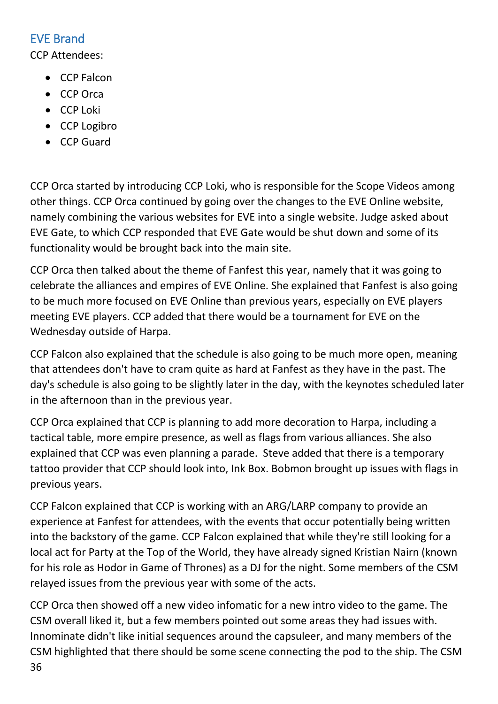# <span id="page-35-0"></span>EVE Brand

CCP Attendees:

- CCP Falcon
- CCP Orca
- CCP Loki
- CCP Logibro
- CCP Guard

CCP Orca started by introducing CCP Loki, who is responsible for the Scope Videos among other things. CCP Orca continued by going over the changes to the EVE Online website, namely combining the various websites for EVE into a single website. Judge asked about EVE Gate, to which CCP responded that EVE Gate would be shut down and some of its functionality would be brought back into the main site.

CCP Orca then talked about the theme of Fanfest this year, namely that it was going to celebrate the alliances and empires of EVE Online. She explained that Fanfest is also going to be much more focused on EVE Online than previous years, especially on EVE players meeting EVE players. CCP added that there would be a tournament for EVE on the Wednesday outside of Harpa.

CCP Falcon also explained that the schedule is also going to be much more open, meaning that attendees don't have to cram quite as hard at Fanfest as they have in the past. The day's schedule is also going to be slightly later in the day, with the keynotes scheduled later in the afternoon than in the previous year.

CCP Orca explained that CCP is planning to add more decoration to Harpa, including a tactical table, more empire presence, as well as flags from various alliances. She also explained that CCP was even planning a parade. Steve added that there is a temporary tattoo provider that CCP should look into, Ink Box. Bobmon brought up issues with flags in previous years.

CCP Falcon explained that CCP is working with an ARG/LARP company to provide an experience at Fanfest for attendees, with the events that occur potentially being written into the backstory of the game. CCP Falcon explained that while they're still looking for a local act for Party at the Top of the World, they have already signed Kristian Nairn (known for his role as Hodor in Game of Thrones) as a DJ for the night. Some members of the CSM relayed issues from the previous year with some of the acts.

36 CCP Orca then showed off a new video infomatic for a new intro video to the game. The CSM overall liked it, but a few members pointed out some areas they had issues with. Innominate didn't like initial sequences around the capsuleer, and many members of the CSM highlighted that there should be some scene connecting the pod to the ship. The CSM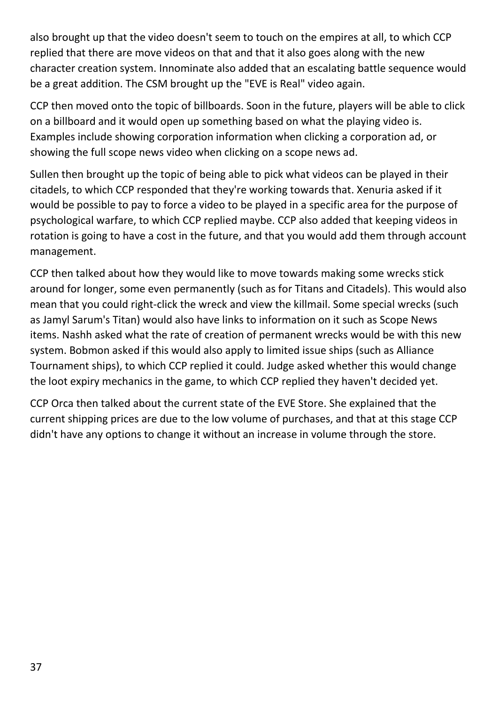also brought up that the video doesn't seem to touch on the empires at all, to which CCP replied that there are move videos on that and that it also goes along with the new character creation system. Innominate also added that an escalating battle sequence would be a great addition. The CSM brought up the "EVE is Real" video again.

CCP then moved onto the topic of billboards. Soon in the future, players will be able to click on a billboard and it would open up something based on what the playing video is. Examples include showing corporation information when clicking a corporation ad, or showing the full scope news video when clicking on a scope news ad.

Sullen then brought up the topic of being able to pick what videos can be played in their citadels, to which CCP responded that they're working towards that. Xenuria asked if it would be possible to pay to force a video to be played in a specific area for the purpose of psychological warfare, to which CCP replied maybe. CCP also added that keeping videos in rotation is going to have a cost in the future, and that you would add them through account management.

CCP then talked about how they would like to move towards making some wrecks stick around for longer, some even permanently (such as for Titans and Citadels). This would also mean that you could right-click the wreck and view the killmail. Some special wrecks (such as Jamyl Sarum's Titan) would also have links to information on it such as Scope News items. Nashh asked what the rate of creation of permanent wrecks would be with this new system. Bobmon asked if this would also apply to limited issue ships (such as Alliance Tournament ships), to which CCP replied it could. Judge asked whether this would change the loot expiry mechanics in the game, to which CCP replied they haven't decided yet.

CCP Orca then talked about the current state of the EVE Store. She explained that the current shipping prices are due to the low volume of purchases, and that at this stage CCP didn't have any options to change it without an increase in volume through the store.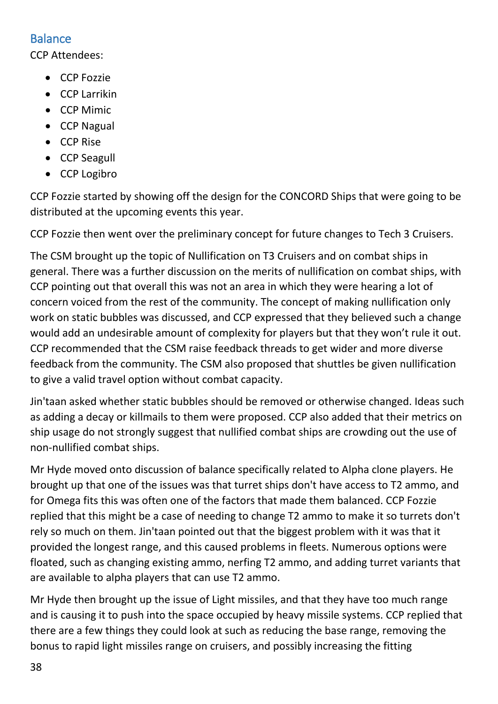## <span id="page-37-0"></span>**Balance**

CCP Attendees:

- CCP Fozzie
- CCP Larrikin
- CCP Mimic
- CCP Nagual
- CCP Rise
- CCP Seagull
- CCP Logibro

CCP Fozzie started by showing off the design for the CONCORD Ships that were going to be distributed at the upcoming events this year.

CCP Fozzie then went over the preliminary concept for future changes to Tech 3 Cruisers.

The CSM brought up the topic of Nullification on T3 Cruisers and on combat ships in general. There was a further discussion on the merits of nullification on combat ships, with CCP pointing out that overall this was not an area in which they were hearing a lot of concern voiced from the rest of the community. The concept of making nullification only work on static bubbles was discussed, and CCP expressed that they believed such a change would add an undesirable amount of complexity for players but that they won't rule it out. CCP recommended that the CSM raise feedback threads to get wider and more diverse feedback from the community. The CSM also proposed that shuttles be given nullification to give a valid travel option without combat capacity.

Jin'taan asked whether static bubbles should be removed or otherwise changed. Ideas such as adding a decay or killmails to them were proposed. CCP also added that their metrics on ship usage do not strongly suggest that nullified combat ships are crowding out the use of non-nullified combat ships.

Mr Hyde moved onto discussion of balance specifically related to Alpha clone players. He brought up that one of the issues was that turret ships don't have access to T2 ammo, and for Omega fits this was often one of the factors that made them balanced. CCP Fozzie replied that this might be a case of needing to change T2 ammo to make it so turrets don't rely so much on them. Jin'taan pointed out that the biggest problem with it was that it provided the longest range, and this caused problems in fleets. Numerous options were floated, such as changing existing ammo, nerfing T2 ammo, and adding turret variants that are available to alpha players that can use T2 ammo.

Mr Hyde then brought up the issue of Light missiles, and that they have too much range and is causing it to push into the space occupied by heavy missile systems. CCP replied that there are a few things they could look at such as reducing the base range, removing the bonus to rapid light missiles range on cruisers, and possibly increasing the fitting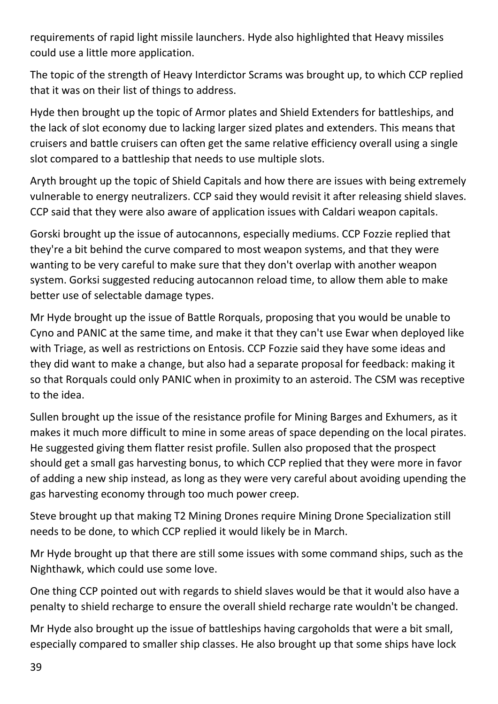requirements of rapid light missile launchers. Hyde also highlighted that Heavy missiles could use a little more application.

The topic of the strength of Heavy Interdictor Scrams was brought up, to which CCP replied that it was on their list of things to address.

Hyde then brought up the topic of Armor plates and Shield Extenders for battleships, and the lack of slot economy due to lacking larger sized plates and extenders. This means that cruisers and battle cruisers can often get the same relative efficiency overall using a single slot compared to a battleship that needs to use multiple slots.

Aryth brought up the topic of Shield Capitals and how there are issues with being extremely vulnerable to energy neutralizers. CCP said they would revisit it after releasing shield slaves. CCP said that they were also aware of application issues with Caldari weapon capitals.

Gorski brought up the issue of autocannons, especially mediums. CCP Fozzie replied that they're a bit behind the curve compared to most weapon systems, and that they were wanting to be very careful to make sure that they don't overlap with another weapon system. Gorksi suggested reducing autocannon reload time, to allow them able to make better use of selectable damage types.

Mr Hyde brought up the issue of Battle Rorquals, proposing that you would be unable to Cyno and PANIC at the same time, and make it that they can't use Ewar when deployed like with Triage, as well as restrictions on Entosis. CCP Fozzie said they have some ideas and they did want to make a change, but also had a separate proposal for feedback: making it so that Rorquals could only PANIC when in proximity to an asteroid. The CSM was receptive to the idea.

Sullen brought up the issue of the resistance profile for Mining Barges and Exhumers, as it makes it much more difficult to mine in some areas of space depending on the local pirates. He suggested giving them flatter resist profile. Sullen also proposed that the prospect should get a small gas harvesting bonus, to which CCP replied that they were more in favor of adding a new ship instead, as long as they were very careful about avoiding upending the gas harvesting economy through too much power creep.

Steve brought up that making T2 Mining Drones require Mining Drone Specialization still needs to be done, to which CCP replied it would likely be in March.

Mr Hyde brought up that there are still some issues with some command ships, such as the Nighthawk, which could use some love.

One thing CCP pointed out with regards to shield slaves would be that it would also have a penalty to shield recharge to ensure the overall shield recharge rate wouldn't be changed.

Mr Hyde also brought up the issue of battleships having cargoholds that were a bit small, especially compared to smaller ship classes. He also brought up that some ships have lock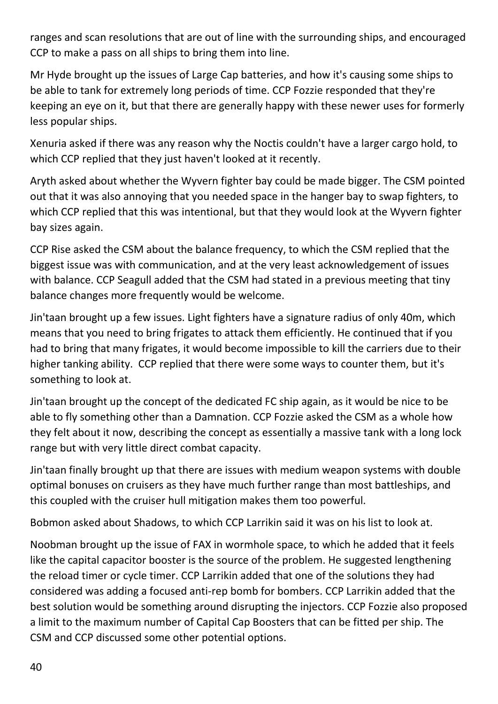ranges and scan resolutions that are out of line with the surrounding ships, and encouraged CCP to make a pass on all ships to bring them into line.

Mr Hyde brought up the issues of Large Cap batteries, and how it's causing some ships to be able to tank for extremely long periods of time. CCP Fozzie responded that they're keeping an eye on it, but that there are generally happy with these newer uses for formerly less popular ships.

Xenuria asked if there was any reason why the Noctis couldn't have a larger cargo hold, to which CCP replied that they just haven't looked at it recently.

Aryth asked about whether the Wyvern fighter bay could be made bigger. The CSM pointed out that it was also annoying that you needed space in the hanger bay to swap fighters, to which CCP replied that this was intentional, but that they would look at the Wyvern fighter bay sizes again.

CCP Rise asked the CSM about the balance frequency, to which the CSM replied that the biggest issue was with communication, and at the very least acknowledgement of issues with balance. CCP Seagull added that the CSM had stated in a previous meeting that tiny balance changes more frequently would be welcome.

Jin'taan brought up a few issues. Light fighters have a signature radius of only 40m, which means that you need to bring frigates to attack them efficiently. He continued that if you had to bring that many frigates, it would become impossible to kill the carriers due to their higher tanking ability. CCP replied that there were some ways to counter them, but it's something to look at.

Jin'taan brought up the concept of the dedicated FC ship again, as it would be nice to be able to fly something other than a Damnation. CCP Fozzie asked the CSM as a whole how they felt about it now, describing the concept as essentially a massive tank with a long lock range but with very little direct combat capacity.

Jin'taan finally brought up that there are issues with medium weapon systems with double optimal bonuses on cruisers as they have much further range than most battleships, and this coupled with the cruiser hull mitigation makes them too powerful.

Bobmon asked about Shadows, to which CCP Larrikin said it was on his list to look at.

Noobman brought up the issue of FAX in wormhole space, to which he added that it feels like the capital capacitor booster is the source of the problem. He suggested lengthening the reload timer or cycle timer. CCP Larrikin added that one of the solutions they had considered was adding a focused anti-rep bomb for bombers. CCP Larrikin added that the best solution would be something around disrupting the injectors. CCP Fozzie also proposed a limit to the maximum number of Capital Cap Boosters that can be fitted per ship. The CSM and CCP discussed some other potential options.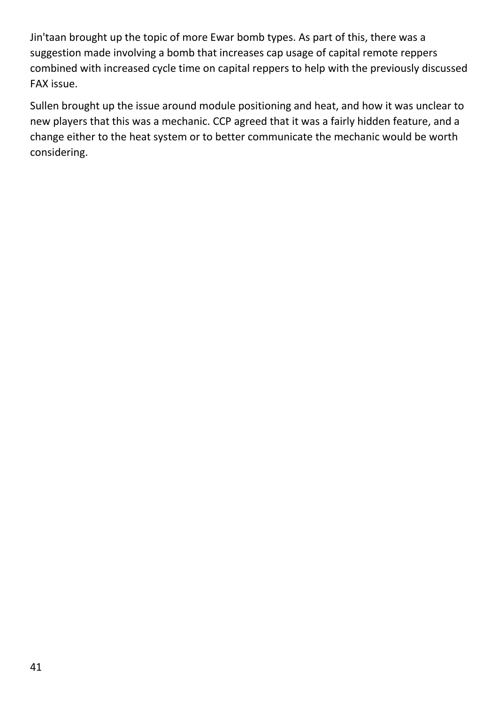Jin'taan brought up the topic of more Ewar bomb types. As part of this, there was a suggestion made involving a bomb that increases cap usage of capital remote reppers combined with increased cycle time on capital reppers to help with the previously discussed FAX issue.

Sullen brought up the issue around module positioning and heat, and how it was unclear to new players that this was a mechanic. CCP agreed that it was a fairly hidden feature, and a change either to the heat system or to better communicate the mechanic would be worth considering.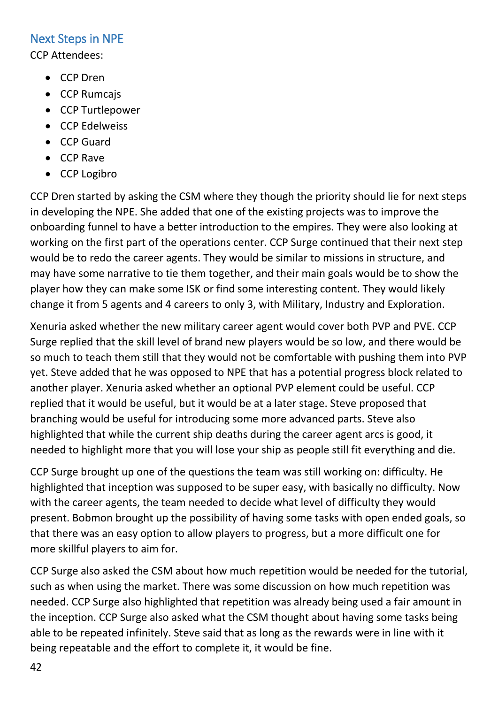## <span id="page-41-0"></span>Next Steps in NPE

CCP Attendees:

- CCP Dren
- CCP Rumcajs
- CCP Turtlepower
- CCP Edelweiss
- CCP Guard
- CCP Rave
- CCP Logibro

CCP Dren started by asking the CSM where they though the priority should lie for next steps in developing the NPE. She added that one of the existing projects was to improve the onboarding funnel to have a better introduction to the empires. They were also looking at working on the first part of the operations center. CCP Surge continued that their next step would be to redo the career agents. They would be similar to missions in structure, and may have some narrative to tie them together, and their main goals would be to show the player how they can make some ISK or find some interesting content. They would likely change it from 5 agents and 4 careers to only 3, with Military, Industry and Exploration.

Xenuria asked whether the new military career agent would cover both PVP and PVE. CCP Surge replied that the skill level of brand new players would be so low, and there would be so much to teach them still that they would not be comfortable with pushing them into PVP yet. Steve added that he was opposed to NPE that has a potential progress block related to another player. Xenuria asked whether an optional PVP element could be useful. CCP replied that it would be useful, but it would be at a later stage. Steve proposed that branching would be useful for introducing some more advanced parts. Steve also highlighted that while the current ship deaths during the career agent arcs is good, it needed to highlight more that you will lose your ship as people still fit everything and die.

CCP Surge brought up one of the questions the team was still working on: difficulty. He highlighted that inception was supposed to be super easy, with basically no difficulty. Now with the career agents, the team needed to decide what level of difficulty they would present. Bobmon brought up the possibility of having some tasks with open ended goals, so that there was an easy option to allow players to progress, but a more difficult one for more skillful players to aim for.

CCP Surge also asked the CSM about how much repetition would be needed for the tutorial, such as when using the market. There was some discussion on how much repetition was needed. CCP Surge also highlighted that repetition was already being used a fair amount in the inception. CCP Surge also asked what the CSM thought about having some tasks being able to be repeated infinitely. Steve said that as long as the rewards were in line with it being repeatable and the effort to complete it, it would be fine.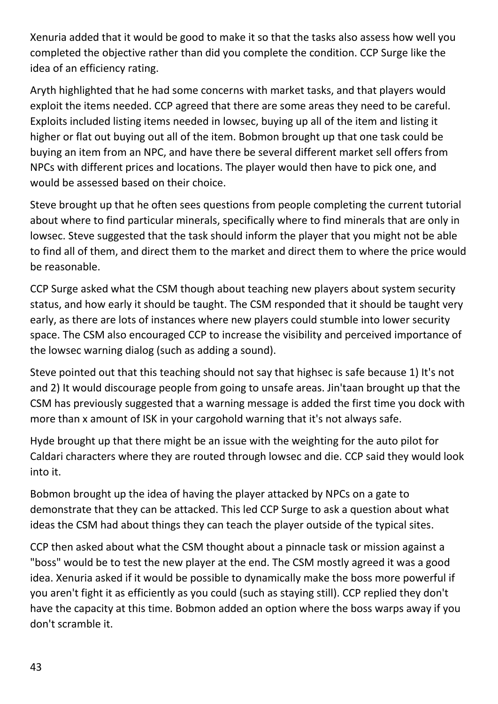Xenuria added that it would be good to make it so that the tasks also assess how well you completed the objective rather than did you complete the condition. CCP Surge like the idea of an efficiency rating.

Aryth highlighted that he had some concerns with market tasks, and that players would exploit the items needed. CCP agreed that there are some areas they need to be careful. Exploits included listing items needed in lowsec, buying up all of the item and listing it higher or flat out buying out all of the item. Bobmon brought up that one task could be buying an item from an NPC, and have there be several different market sell offers from NPCs with different prices and locations. The player would then have to pick one, and would be assessed based on their choice.

Steve brought up that he often sees questions from people completing the current tutorial about where to find particular minerals, specifically where to find minerals that are only in lowsec. Steve suggested that the task should inform the player that you might not be able to find all of them, and direct them to the market and direct them to where the price would be reasonable.

CCP Surge asked what the CSM though about teaching new players about system security status, and how early it should be taught. The CSM responded that it should be taught very early, as there are lots of instances where new players could stumble into lower security space. The CSM also encouraged CCP to increase the visibility and perceived importance of the lowsec warning dialog (such as adding a sound).

Steve pointed out that this teaching should not say that highsec is safe because 1) It's not and 2) It would discourage people from going to unsafe areas. Jin'taan brought up that the CSM has previously suggested that a warning message is added the first time you dock with more than x amount of ISK in your cargohold warning that it's not always safe.

Hyde brought up that there might be an issue with the weighting for the auto pilot for Caldari characters where they are routed through lowsec and die. CCP said they would look into it.

Bobmon brought up the idea of having the player attacked by NPCs on a gate to demonstrate that they can be attacked. This led CCP Surge to ask a question about what ideas the CSM had about things they can teach the player outside of the typical sites.

CCP then asked about what the CSM thought about a pinnacle task or mission against a "boss" would be to test the new player at the end. The CSM mostly agreed it was a good idea. Xenuria asked if it would be possible to dynamically make the boss more powerful if you aren't fight it as efficiently as you could (such as staying still). CCP replied they don't have the capacity at this time. Bobmon added an option where the boss warps away if you don't scramble it.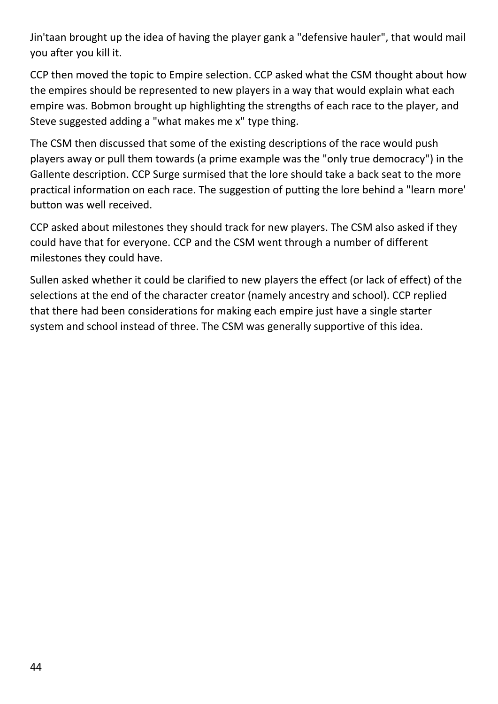Jin'taan brought up the idea of having the player gank a "defensive hauler", that would mail you after you kill it.

CCP then moved the topic to Empire selection. CCP asked what the CSM thought about how the empires should be represented to new players in a way that would explain what each empire was. Bobmon brought up highlighting the strengths of each race to the player, and Steve suggested adding a "what makes me x" type thing.

The CSM then discussed that some of the existing descriptions of the race would push players away or pull them towards (a prime example was the "only true democracy") in the Gallente description. CCP Surge surmised that the lore should take a back seat to the more practical information on each race. The suggestion of putting the lore behind a "learn more' button was well received.

CCP asked about milestones they should track for new players. The CSM also asked if they could have that for everyone. CCP and the CSM went through a number of different milestones they could have.

Sullen asked whether it could be clarified to new players the effect (or lack of effect) of the selections at the end of the character creator (namely ancestry and school). CCP replied that there had been considerations for making each empire just have a single starter system and school instead of three. The CSM was generally supportive of this idea.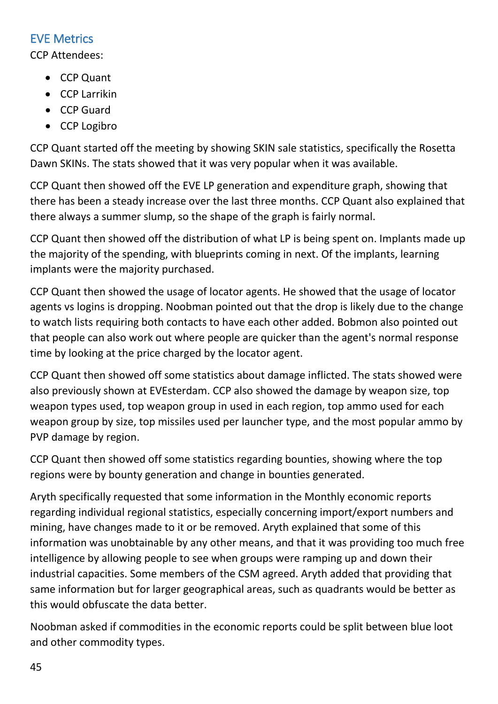## <span id="page-44-0"></span>EVE Metrics

CCP Attendees:

- CCP Quant
- CCP Larrikin
- CCP Guard
- CCP Logibro

CCP Quant started off the meeting by showing SKIN sale statistics, specifically the Rosetta Dawn SKINs. The stats showed that it was very popular when it was available.

CCP Quant then showed off the EVE LP generation and expenditure graph, showing that there has been a steady increase over the last three months. CCP Quant also explained that there always a summer slump, so the shape of the graph is fairly normal.

CCP Quant then showed off the distribution of what LP is being spent on. Implants made up the majority of the spending, with blueprints coming in next. Of the implants, learning implants were the majority purchased.

CCP Quant then showed the usage of locator agents. He showed that the usage of locator agents vs logins is dropping. Noobman pointed out that the drop is likely due to the change to watch lists requiring both contacts to have each other added. Bobmon also pointed out that people can also work out where people are quicker than the agent's normal response time by looking at the price charged by the locator agent.

CCP Quant then showed off some statistics about damage inflicted. The stats showed were also previously shown at EVEsterdam. CCP also showed the damage by weapon size, top weapon types used, top weapon group in used in each region, top ammo used for each weapon group by size, top missiles used per launcher type, and the most popular ammo by PVP damage by region.

CCP Quant then showed off some statistics regarding bounties, showing where the top regions were by bounty generation and change in bounties generated.

Aryth specifically requested that some information in the Monthly economic reports regarding individual regional statistics, especially concerning import/export numbers and mining, have changes made to it or be removed. Aryth explained that some of this information was unobtainable by any other means, and that it was providing too much free intelligence by allowing people to see when groups were ramping up and down their industrial capacities. Some members of the CSM agreed. Aryth added that providing that same information but for larger geographical areas, such as quadrants would be better as this would obfuscate the data better.

Noobman asked if commodities in the economic reports could be split between blue loot and other commodity types.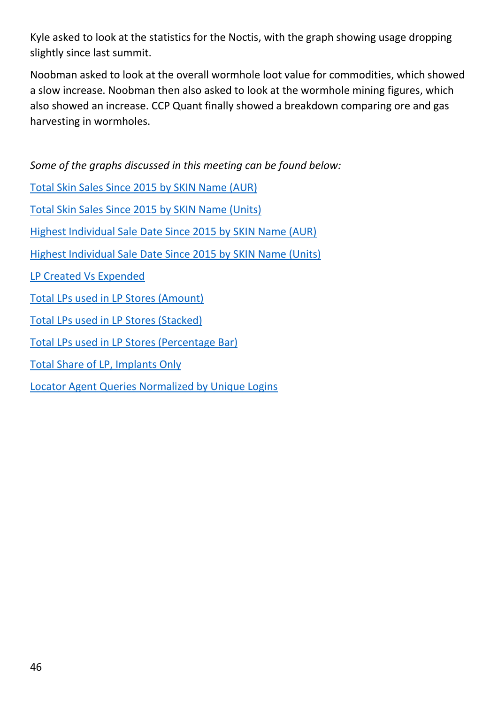Kyle asked to look at the statistics for the Noctis, with the graph showing usage dropping slightly since last summit.

Noobman asked to look at the overall wormhole loot value for commodities, which showed a slow increase. Noobman then also asked to look at the wormhole mining figures, which also showed an increase. CCP Quant finally showed a breakdown comparing ore and gas harvesting in wormholes.

*Some of the graphs discussed in this meeting can be found below:*

[Total Skin Sales Since 2015 by SKIN Name \(AUR\)](http://cdn1.eveonline.com/community/csm/CSM11S2Graphs/SKINSalesBySKINAUR.png)

[Total Skin Sales Since 2015 by SKIN Name \(Units\)](http://cdn1.eveonline.com/community/csm/CSM11S2Graphs/SKINSalesBySKINUnits.png)

[Highest Individual Sale Date Since 2015 by SKIN Name \(AUR\)](http://cdn1.eveonline.com/community/csm/CSM11S2Graphs/HighestSKINSalesDayAUR.png)

[Highest Individual Sale Date Since 2015 by SKIN Name \(Units\)](http://cdn1.eveonline.com/community/csm/CSM11S2Graphs/HighestSKINSalesDayUnits.png)

[LP Created Vs Expended](http://cdn1.eveonline.com/community/csm/CSM11S2Graphs/LPCreation.png)

- [Total LPs used in LP Stores \(Amount\)](http://cdn1.eveonline.com/community/csm/CSM11S2Graphs/LPStoreUsage.png)
- [Total LPs used in LP Stores \(Stacked\)](http://cdn1.eveonline.com/community/csm/CSM11S2Graphs/LPUsageStacked.png)
- [Total LPs used in LP Stores \(Percentage Bar\)](http://cdn1.eveonline.com/community/csm/CSM11S2Graphs/LPUsageBars.png)

[Total Share of LP, Implants Only](http://cdn1.eveonline.com/community/csm/CSM11S2Graphs/ImplantLP.png)

[Locator Agent Queries Normalized by Unique Logins](http://cdn1.eveonline.com/community/csm/CSM11S2Graphs/LocatorAgents.png)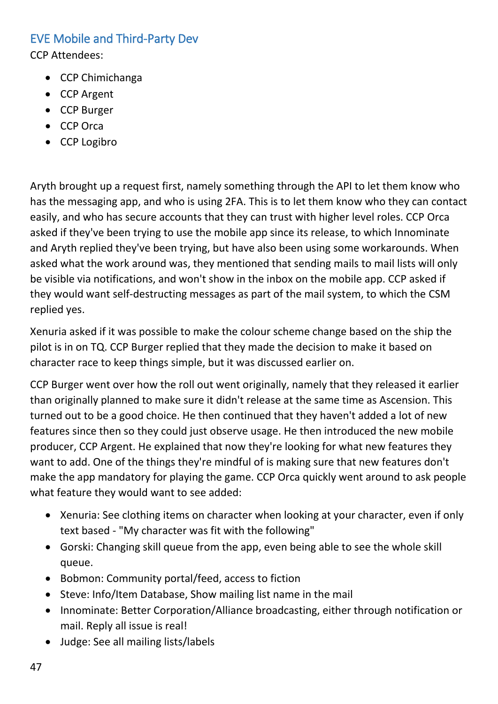## <span id="page-46-0"></span>EVE Mobile and Third-Party Dev

CCP Attendees:

- CCP Chimichanga
- CCP Argent
- CCP Burger
- CCP Orca
- CCP Logibro

Aryth brought up a request first, namely something through the API to let them know who has the messaging app, and who is using 2FA. This is to let them know who they can contact easily, and who has secure accounts that they can trust with higher level roles. CCP Orca asked if they've been trying to use the mobile app since its release, to which Innominate and Aryth replied they've been trying, but have also been using some workarounds. When asked what the work around was, they mentioned that sending mails to mail lists will only be visible via notifications, and won't show in the inbox on the mobile app. CCP asked if they would want self-destructing messages as part of the mail system, to which the CSM replied yes.

Xenuria asked if it was possible to make the colour scheme change based on the ship the pilot is in on TQ. CCP Burger replied that they made the decision to make it based on character race to keep things simple, but it was discussed earlier on.

CCP Burger went over how the roll out went originally, namely that they released it earlier than originally planned to make sure it didn't release at the same time as Ascension. This turned out to be a good choice. He then continued that they haven't added a lot of new features since then so they could just observe usage. He then introduced the new mobile producer, CCP Argent. He explained that now they're looking for what new features they want to add. One of the things they're mindful of is making sure that new features don't make the app mandatory for playing the game. CCP Orca quickly went around to ask people what feature they would want to see added:

- Xenuria: See clothing items on character when looking at your character, even if only text based - "My character was fit with the following"
- Gorski: Changing skill queue from the app, even being able to see the whole skill queue.
- Bobmon: Community portal/feed, access to fiction
- Steve: Info/Item Database, Show mailing list name in the mail
- Innominate: Better Corporation/Alliance broadcasting, either through notification or mail. Reply all issue is real!
- Judge: See all mailing lists/labels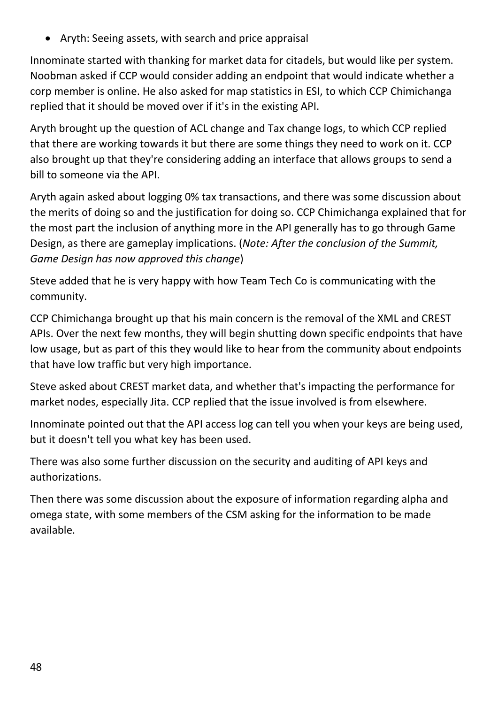• Aryth: Seeing assets, with search and price appraisal

Innominate started with thanking for market data for citadels, but would like per system. Noobman asked if CCP would consider adding an endpoint that would indicate whether a corp member is online. He also asked for map statistics in ESI, to which CCP Chimichanga replied that it should be moved over if it's in the existing API.

Aryth brought up the question of ACL change and Tax change logs, to which CCP replied that there are working towards it but there are some things they need to work on it. CCP also brought up that they're considering adding an interface that allows groups to send a bill to someone via the API.

Aryth again asked about logging 0% tax transactions, and there was some discussion about the merits of doing so and the justification for doing so. CCP Chimichanga explained that for the most part the inclusion of anything more in the API generally has to go through Game Design, as there are gameplay implications. (*Note: After the conclusion of the Summit, Game Design has now approved this change*)

Steve added that he is very happy with how Team Tech Co is communicating with the community.

CCP Chimichanga brought up that his main concern is the removal of the XML and CREST APIs. Over the next few months, they will begin shutting down specific endpoints that have low usage, but as part of this they would like to hear from the community about endpoints that have low traffic but very high importance.

Steve asked about CREST market data, and whether that's impacting the performance for market nodes, especially Jita. CCP replied that the issue involved is from elsewhere.

Innominate pointed out that the API access log can tell you when your keys are being used, but it doesn't tell you what key has been used.

There was also some further discussion on the security and auditing of API keys and authorizations.

Then there was some discussion about the exposure of information regarding alpha and omega state, with some members of the CSM asking for the information to be made available.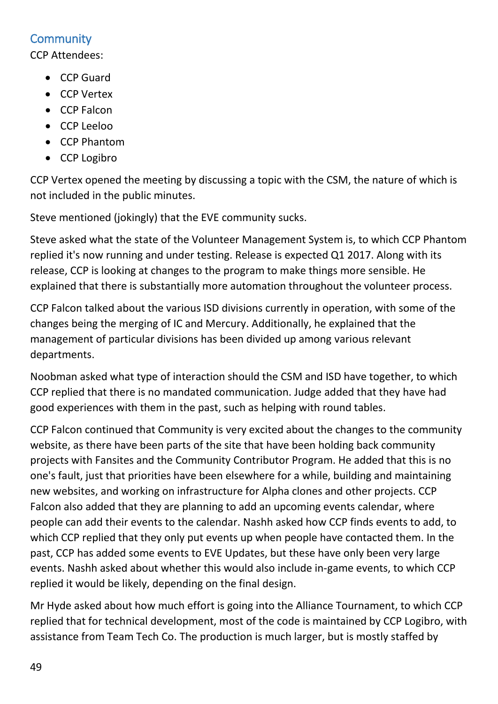# <span id="page-48-0"></span>**Community**

CCP Attendees:

- CCP Guard
- CCP Vertex
- CCP Falcon
- CCP Leeloo
- CCP Phantom
- CCP Logibro

CCP Vertex opened the meeting by discussing a topic with the CSM, the nature of which is not included in the public minutes.

Steve mentioned (jokingly) that the EVE community sucks.

Steve asked what the state of the Volunteer Management System is, to which CCP Phantom replied it's now running and under testing. Release is expected Q1 2017. Along with its release, CCP is looking at changes to the program to make things more sensible. He explained that there is substantially more automation throughout the volunteer process.

CCP Falcon talked about the various ISD divisions currently in operation, with some of the changes being the merging of IC and Mercury. Additionally, he explained that the management of particular divisions has been divided up among various relevant departments.

Noobman asked what type of interaction should the CSM and ISD have together, to which CCP replied that there is no mandated communication. Judge added that they have had good experiences with them in the past, such as helping with round tables.

CCP Falcon continued that Community is very excited about the changes to the community website, as there have been parts of the site that have been holding back community projects with Fansites and the Community Contributor Program. He added that this is no one's fault, just that priorities have been elsewhere for a while, building and maintaining new websites, and working on infrastructure for Alpha clones and other projects. CCP Falcon also added that they are planning to add an upcoming events calendar, where people can add their events to the calendar. Nashh asked how CCP finds events to add, to which CCP replied that they only put events up when people have contacted them. In the past, CCP has added some events to EVE Updates, but these have only been very large events. Nashh asked about whether this would also include in-game events, to which CCP replied it would be likely, depending on the final design.

Mr Hyde asked about how much effort is going into the Alliance Tournament, to which CCP replied that for technical development, most of the code is maintained by CCP Logibro, with assistance from Team Tech Co. The production is much larger, but is mostly staffed by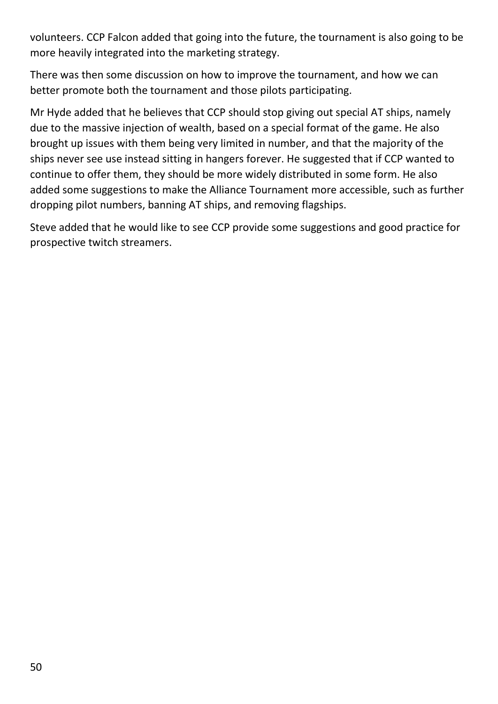volunteers. CCP Falcon added that going into the future, the tournament is also going to be more heavily integrated into the marketing strategy.

There was then some discussion on how to improve the tournament, and how we can better promote both the tournament and those pilots participating.

Mr Hyde added that he believes that CCP should stop giving out special AT ships, namely due to the massive injection of wealth, based on a special format of the game. He also brought up issues with them being very limited in number, and that the majority of the ships never see use instead sitting in hangers forever. He suggested that if CCP wanted to continue to offer them, they should be more widely distributed in some form. He also added some suggestions to make the Alliance Tournament more accessible, such as further dropping pilot numbers, banning AT ships, and removing flagships.

Steve added that he would like to see CCP provide some suggestions and good practice for prospective twitch streamers.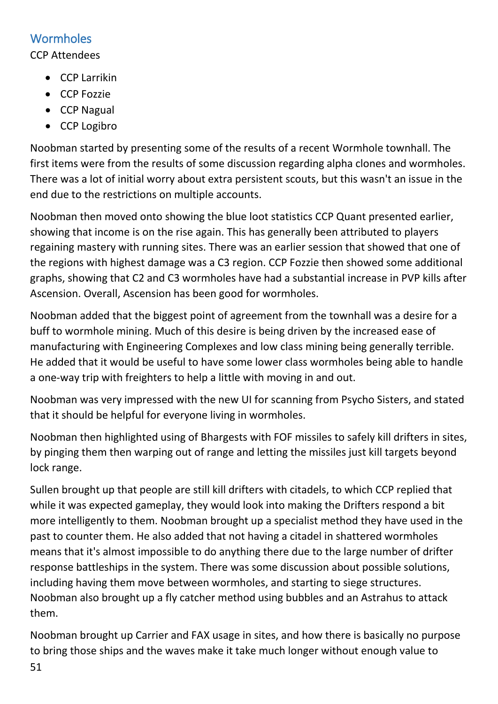## <span id="page-50-0"></span>**Wormholes**

#### CCP Attendees

- CCP Larrikin
- CCP Fozzie
- CCP Nagual
- CCP Logibro

Noobman started by presenting some of the results of a recent Wormhole townhall. The first items were from the results of some discussion regarding alpha clones and wormholes. There was a lot of initial worry about extra persistent scouts, but this wasn't an issue in the end due to the restrictions on multiple accounts.

Noobman then moved onto showing the blue loot statistics CCP Quant presented earlier, showing that income is on the rise again. This has generally been attributed to players regaining mastery with running sites. There was an earlier session that showed that one of the regions with highest damage was a C3 region. CCP Fozzie then showed some additional graphs, showing that C2 and C3 wormholes have had a substantial increase in PVP kills after Ascension. Overall, Ascension has been good for wormholes.

Noobman added that the biggest point of agreement from the townhall was a desire for a buff to wormhole mining. Much of this desire is being driven by the increased ease of manufacturing with Engineering Complexes and low class mining being generally terrible. He added that it would be useful to have some lower class wormholes being able to handle a one-way trip with freighters to help a little with moving in and out.

Noobman was very impressed with the new UI for scanning from Psycho Sisters, and stated that it should be helpful for everyone living in wormholes.

Noobman then highlighted using of Bhargests with FOF missiles to safely kill drifters in sites, by pinging them then warping out of range and letting the missiles just kill targets beyond lock range.

Sullen brought up that people are still kill drifters with citadels, to which CCP replied that while it was expected gameplay, they would look into making the Drifters respond a bit more intelligently to them. Noobman brought up a specialist method they have used in the past to counter them. He also added that not having a citadel in shattered wormholes means that it's almost impossible to do anything there due to the large number of drifter response battleships in the system. There was some discussion about possible solutions, including having them move between wormholes, and starting to siege structures. Noobman also brought up a fly catcher method using bubbles and an Astrahus to attack them.

Noobman brought up Carrier and FAX usage in sites, and how there is basically no purpose to bring those ships and the waves make it take much longer without enough value to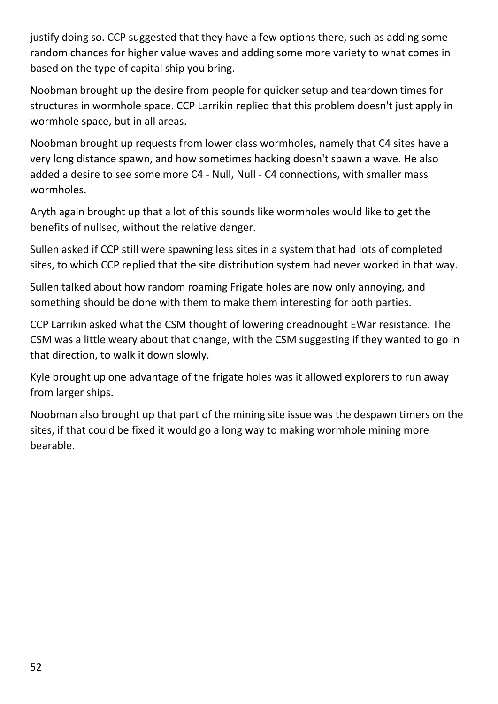justify doing so. CCP suggested that they have a few options there, such as adding some random chances for higher value waves and adding some more variety to what comes in based on the type of capital ship you bring.

Noobman brought up the desire from people for quicker setup and teardown times for structures in wormhole space. CCP Larrikin replied that this problem doesn't just apply in wormhole space, but in all areas.

Noobman brought up requests from lower class wormholes, namely that C4 sites have a very long distance spawn, and how sometimes hacking doesn't spawn a wave. He also added a desire to see some more C4 - Null, Null - C4 connections, with smaller mass wormholes.

Aryth again brought up that a lot of this sounds like wormholes would like to get the benefits of nullsec, without the relative danger.

Sullen asked if CCP still were spawning less sites in a system that had lots of completed sites, to which CCP replied that the site distribution system had never worked in that way.

Sullen talked about how random roaming Frigate holes are now only annoying, and something should be done with them to make them interesting for both parties.

CCP Larrikin asked what the CSM thought of lowering dreadnought EWar resistance. The CSM was a little weary about that change, with the CSM suggesting if they wanted to go in that direction, to walk it down slowly.

Kyle brought up one advantage of the frigate holes was it allowed explorers to run away from larger ships.

Noobman also brought up that part of the mining site issue was the despawn timers on the sites, if that could be fixed it would go a long way to making wormhole mining more bearable.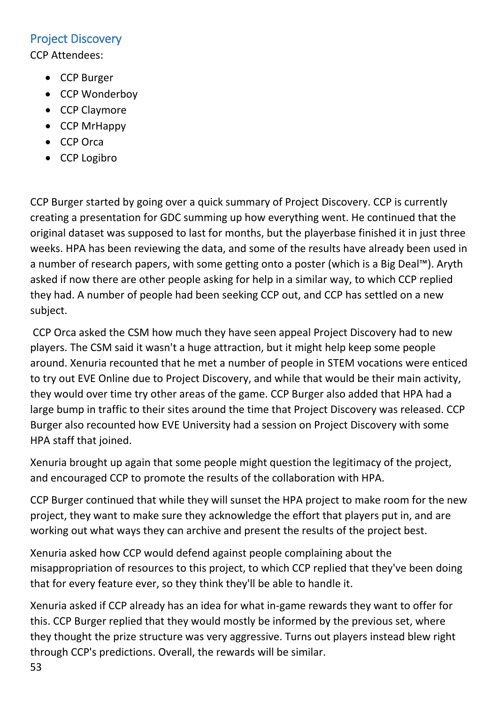#### <span id="page-52-0"></span>Project Discovery

CCP Attendees:

- CCP Burger
- CCP Wonderboy
- CCP Claymore
- CCP MrHappy
- CCP Orca
- CCP Logibro

CCP Burger started by going over a quick summary of Project Discovery. CCP is currently creating a presentation for GDC summing up how everything went. He continued that the original dataset was supposed to last for months, but the playerbase finished it in just three weeks. HPA has been reviewing the data, and some of the results have already been used in a number of research papers, with some getting onto a poster (which is a Big Deal™). Aryth asked if now there are other people asking for help in a similar way, to which CCP replied they had. A number of people had been seeking CCP out, and CCP has settled on a new subject.

CCP Orca asked the CSM how much they have seen appeal Project Discovery had to new players. The CSM said it wasn't a huge attraction, but it might help keep some people around. Xenuria recounted that he met a number of people in STEM vocations were enticed to try out EVE Online due to Project Discovery, and while that would be their main activity, they would over time try other areas of the game. CCP Burger also added that HPA had a large bump in traffic to their sites around the time that Project Discovery was released. CCP Burger also recounted how EVE University had a session on Project Discovery with some HPA staff that joined.

Xenuria brought up again that some people might question the legitimacy of the project, and encouraged CCP to promote the results of the collaboration with HPA.

CCP Burger continued that while they will sunset the HPA project to make room for the new project, they want to make sure they acknowledge the effort that players put in, and are working out what ways they can archive and present the results of the project best.

Xenuria asked how CCP would defend against people complaining about the misappropriation of resources to this project, to which CCP replied that they've been doing that for every feature ever, so they think they'll be able to handle it.

Xenuria asked if CCP already has an idea for what in-game rewards they want to offer for this. CCP Burger replied that they would mostly be informed by the previous set, where they thought the prize structure was very aggressive. Turns out players instead blew right through CCP's predictions. Overall, the rewards will be similar.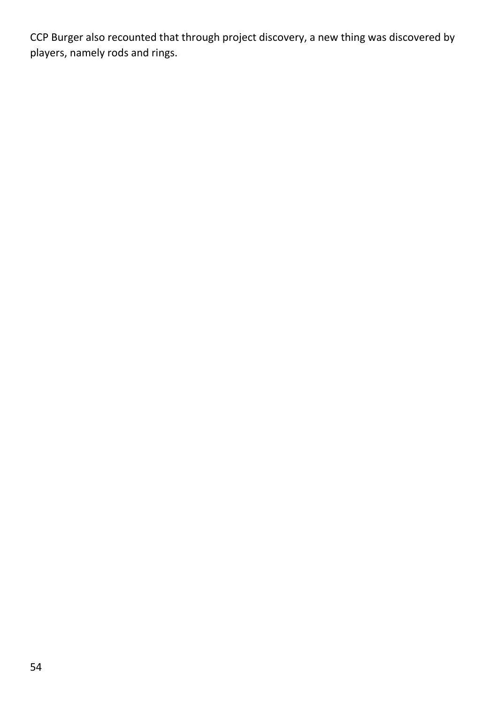CCP Burger also recounted that through project discovery, a new thing was discovered by players, namely rods and rings.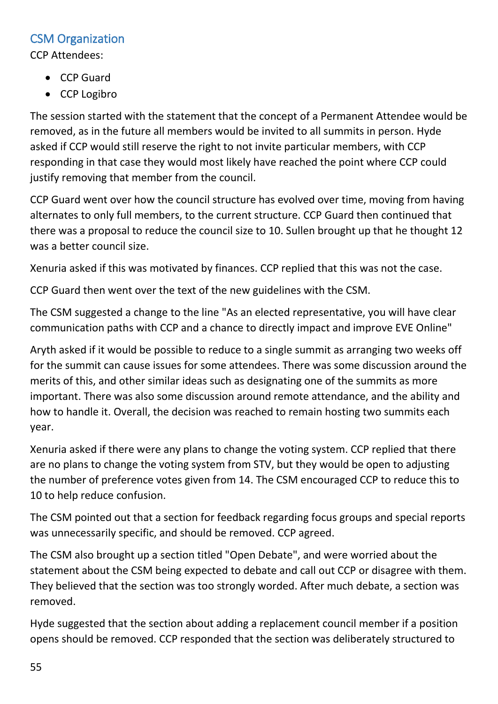## <span id="page-54-0"></span>CSM Organization

CCP Attendees:

- CCP Guard
- CCP Logibro

The session started with the statement that the concept of a Permanent Attendee would be removed, as in the future all members would be invited to all summits in person. Hyde asked if CCP would still reserve the right to not invite particular members, with CCP responding in that case they would most likely have reached the point where CCP could justify removing that member from the council.

CCP Guard went over how the council structure has evolved over time, moving from having alternates to only full members, to the current structure. CCP Guard then continued that there was a proposal to reduce the council size to 10. Sullen brought up that he thought 12 was a better council size.

Xenuria asked if this was motivated by finances. CCP replied that this was not the case.

CCP Guard then went over the text of the new guidelines with the CSM.

The CSM suggested a change to the line "As an elected representative, you will have clear communication paths with CCP and a chance to directly impact and improve EVE Online"

Aryth asked if it would be possible to reduce to a single summit as arranging two weeks off for the summit can cause issues for some attendees. There was some discussion around the merits of this, and other similar ideas such as designating one of the summits as more important. There was also some discussion around remote attendance, and the ability and how to handle it. Overall, the decision was reached to remain hosting two summits each year.

Xenuria asked if there were any plans to change the voting system. CCP replied that there are no plans to change the voting system from STV, but they would be open to adjusting the number of preference votes given from 14. The CSM encouraged CCP to reduce this to 10 to help reduce confusion.

The CSM pointed out that a section for feedback regarding focus groups and special reports was unnecessarily specific, and should be removed. CCP agreed.

The CSM also brought up a section titled "Open Debate", and were worried about the statement about the CSM being expected to debate and call out CCP or disagree with them. They believed that the section was too strongly worded. After much debate, a section was removed.

Hyde suggested that the section about adding a replacement council member if a position opens should be removed. CCP responded that the section was deliberately structured to